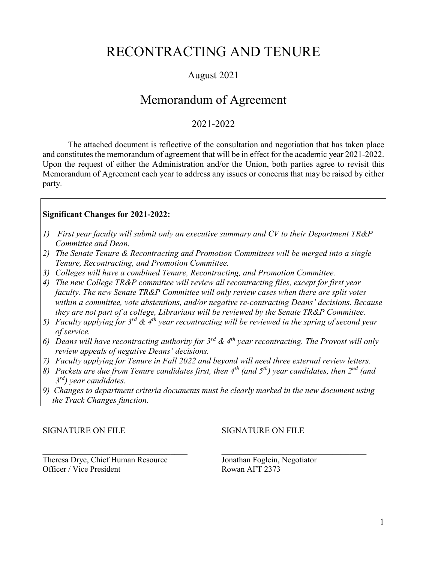## RECONTRACTING AND TENURE

### August 2021

## Memorandum of Agreement

### 2021-2022

The attached document is reflective of the consultation and negotiation that has taken place and constitutes the memorandum of agreement that will be in effect for the academic year 2021-2022. Upon the request of either the Administration and/or the Union, both parties agree to revisit this Memorandum of Agreement each year to address any issues or concerns that may be raised by either party.

#### **Significant Changes for 2021-2022:**

- *1) First year faculty will submit only an executive summary and CV to their Department TR&P Committee and Dean.*
- *2) The Senate Tenure & Recontracting and Promotion Committees will be merged into a single Tenure, Recontracting, and Promotion Committee.*
- *3) Colleges will have a combined Tenure, Recontracting, and Promotion Committee.*
- *4) The new College TR&P committee will review all recontracting files, except for first year faculty. The new Senate TR&P Committee will only review cases when there are split votes within a committee, vote abstentions, and/or negative re-contracting Deans' decisions. Because they are not part of a college, Librarians will be reviewed by the Senate TR&P Committee.*
- *5) Faculty applying for 3rd & 4th year recontracting will be reviewed in the spring of second year of service.*
- *6) Deans will have recontracting authority for 3rd & 4th year recontracting. The Provost will only review appeals of negative Deans' decisions.*
- *7) Faculty applying for Tenure in Fall 2022 and beyond will need three external review letters.*
- *8) Packets are due from Tenure candidates first, then 4th (and 5th) year candidates, then 2nd (and 3rd) year candidates.*
- *9) Changes to department criteria documents must be clearly marked in the new document using the Track Changes function*.

#### SIGNATURE ON FILE SIGNATURE ON FILE

 $\overline{\phantom{a}}$  , and the contribution of the contribution of the contribution of the contribution of the contribution of the contribution of the contribution of the contribution of the contribution of the contribution of the Theresa Drye, Chief Human Resource Jonathan Foglein, Negotiator Officer / Vice President Rowan AFT 2373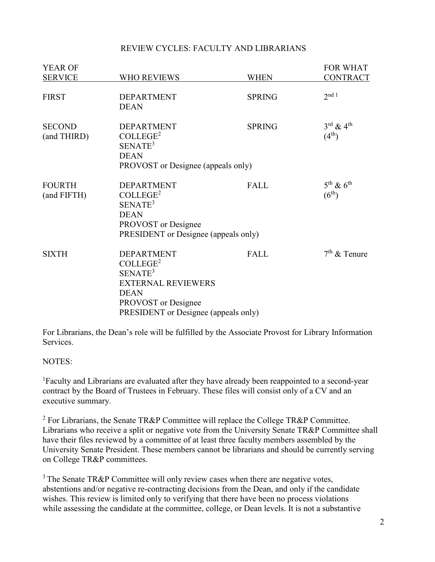#### REVIEW CYCLES: FACULTY AND LIBRARIANS

| <b>YEAR OF</b>               |                                                                                                                                                                             |               | FOR WHAT                                                |
|------------------------------|-----------------------------------------------------------------------------------------------------------------------------------------------------------------------------|---------------|---------------------------------------------------------|
| <b>SERVICE</b>               | WHO REVIEWS                                                                                                                                                                 | <b>WHEN</b>   | <b>CONTRACT</b>                                         |
| <b>FIRST</b>                 | <b>DEPARTMENT</b><br><b>DEAN</b>                                                                                                                                            | <b>SPRING</b> | $2^{nd}$ 1                                              |
| <b>SECOND</b><br>(and THIRD) | <b>DEPARTMENT</b><br>COLLEGE <sup>2</sup><br>SENATE <sup>3</sup><br><b>DEAN</b><br>PROVOST or Designee (appeals only)                                                       | <b>SPRING</b> | $3^{\text{rd}}$ & $4^{\text{th}}$<br>$(4^{th})$         |
| <b>FOURTH</b><br>(and FIFTH) | <b>DEPARTMENT</b><br>COLLEGE <sup>2</sup><br>SENATE <sup>3</sup><br><b>DEAN</b><br>PROVOST or Designee<br>PRESIDENT or Designee (appeals only)                              | FALL          | $5^{\text{th}}$ & $6^{\text{th}}$<br>(6 <sup>th</sup> ) |
| <b>SIXTH</b>                 | <b>DEPARTMENT</b><br>COLLEGE <sup>2</sup><br>SENATE <sup>3</sup><br><b>EXTERNAL REVIEWERS</b><br><b>DEAN</b><br>PROVOST or Designee<br>PRESIDENT or Designee (appeals only) | FALL          | $7th$ & Tenure                                          |

For Librarians, the Dean's role will be fulfilled by the Associate Provost for Library Information Services.

#### NOTES:

<sup>1</sup>Faculty and Librarians are evaluated after they have already been reappointed to a second-year contract by the Board of Trustees in February. These files will consist only of a CV and an executive summary.

<sup>2</sup> For Librarians, the Senate TR&P Committee will replace the College TR&P Committee. Librarians who receive a split or negative vote from the University Senate TR&P Committee shall have their files reviewed by a committee of at least three faculty members assembled by the University Senate President. These members cannot be librarians and should be currently serving on College TR&P committees.

 $3$  The Senate TR&P Committee will only review cases when there are negative votes, abstentions and/or negative re-contracting decisions from the Dean, and only if the candidate wishes. This review is limited only to verifying that there have been no process violations while assessing the candidate at the committee, college, or Dean levels. It is not a substantive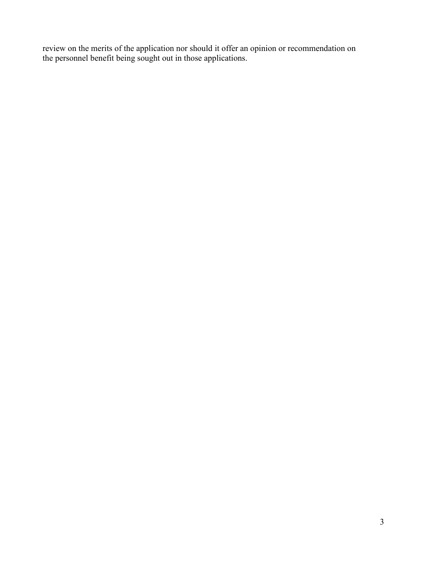review on the merits of the application nor should it offer an opinion or recommendation on the personnel benefit being sought out in those applications.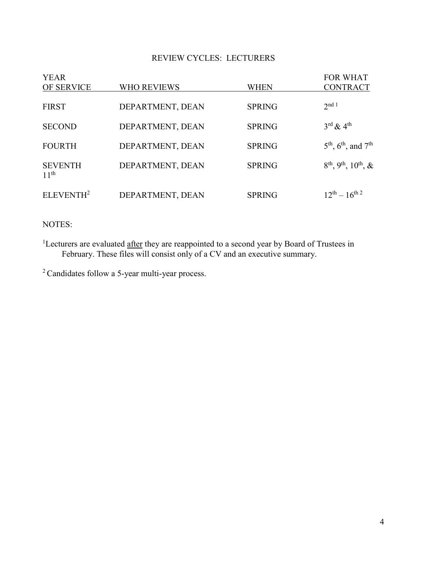#### REVIEW CYCLES: LECTURERS

| <b>YEAR</b><br>OF SERVICE          | <b>WHO REVIEWS</b> | WHEN          | <b>FOR WHAT</b><br><b>CONTRACT</b>                       |
|------------------------------------|--------------------|---------------|----------------------------------------------------------|
|                                    |                    |               |                                                          |
| <b>FIRST</b>                       | DEPARTMENT, DEAN   | <b>SPRING</b> | $2^{\text{nd} 1}$                                        |
| <b>SECOND</b>                      | DEPARTMENT, DEAN   | <b>SPRING</b> | $3^{\text{rd}}$ & 4 <sup>th</sup>                        |
| <b>FOURTH</b>                      | DEPARTMENT, DEAN   | <b>SPRING</b> | $5^{\text{th}}$ , $6^{\text{th}}$ , and $7^{\text{th}}$  |
| <b>SEVENTH</b><br>11 <sup>th</sup> | DEPARTMENT, DEAN   | <b>SPRING</b> | $8^{\text{th}}$ , 9 <sup>th</sup> , 10 <sup>th</sup> , & |
| ELEVENTH <sup>2</sup>              | DEPARTMENT, DEAN   | <b>SPRING</b> | $12^{th} - 16^{th}$ <sup>2</sup>                         |

NOTES:

<sup>1</sup>Lecturers are evaluated after they are reappointed to a second year by Board of Trustees in February. These files will consist only of a CV and an executive summary.

<sup>2</sup> Candidates follow a 5-year multi-year process.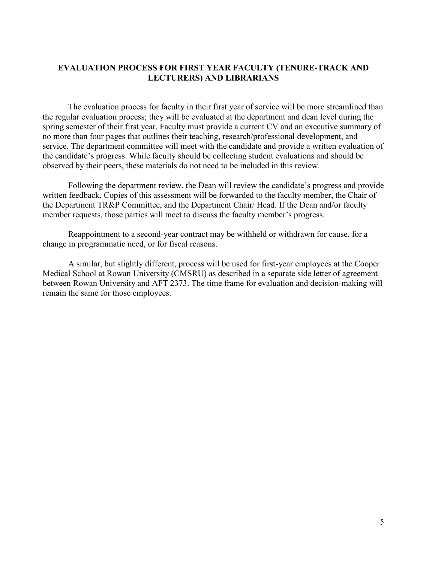#### **EVALUATION PROCESS FOR FIRST YEAR FACULTY (TENURE-TRACK AND LECTURERS) AND LIBRARIANS**

The evaluation process for faculty in their first year of service will be more streamlined than the regular evaluation process; they will be evaluated at the department and dean level during the spring semester of their first year. Faculty must provide a current CV and an executive summary of no more than four pages that outlines their teaching, research/professional development, and service. The department committee will meet with the candidate and provide a written evaluation of the candidate's progress. While faculty should be collecting student evaluations and should be observed by their peers, these materials do not need to be included in this review.

Following the department review, the Dean will review the candidate's progress and provide written feedback. Copies of this assessment will be forwarded to the faculty member, the Chair of the Department TR&P Committee, and the Department Chair/ Head. If the Dean and/or faculty member requests, those parties will meet to discuss the faculty member's progress.

Reappointment to a second-year contract may be withheld or withdrawn for cause, for a change in programmatic need, or for fiscal reasons.

A similar, but slightly different, process will be used for first-year employees at the Cooper Medical School at Rowan University (CMSRU) as described in a separate side letter of agreement between Rowan University and AFT 2373. The time frame for evaluation and decision-making will remain the same for those employees.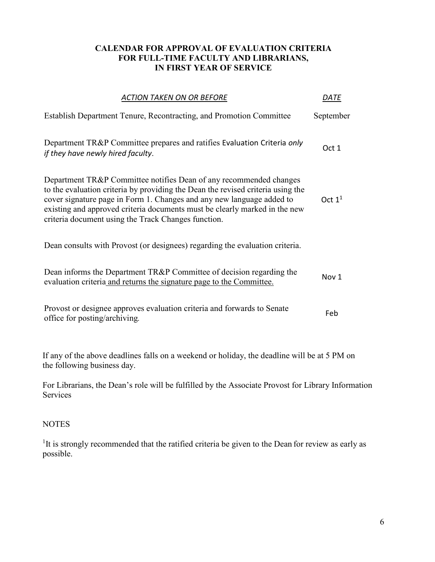#### **CALENDAR FOR APPROVAL OF EVALUATION CRITERIA FOR FULL-TIME FACULTY AND LIBRARIANS, IN FIRST YEAR OF SERVICE**

| <b>ACTION TAKEN ON OR BEFORE</b>                                                                                                                                                                                                                                                                                                                                    | DATE      |
|---------------------------------------------------------------------------------------------------------------------------------------------------------------------------------------------------------------------------------------------------------------------------------------------------------------------------------------------------------------------|-----------|
| <b>Establish Department Tenure, Recontracting, and Promotion Committee</b>                                                                                                                                                                                                                                                                                          | September |
| Department TR&P Committee prepares and ratifies Evaluation Criteria only<br>if they have newly hired faculty.                                                                                                                                                                                                                                                       | Oct 1     |
| Department TR&P Committee notifies Dean of any recommended changes<br>to the evaluation criteria by providing the Dean the revised criteria using the<br>cover signature page in Form 1. Changes and any new language added to<br>existing and approved criteria documents must be clearly marked in the new<br>criteria document using the Track Changes function. | Oct $11$  |
| Dean consults with Provost (or designees) regarding the evaluation criteria.                                                                                                                                                                                                                                                                                        |           |
| Dean informs the Department TR&P Committee of decision regarding the<br>evaluation criteria and returns the signature page to the Committee.                                                                                                                                                                                                                        | Nov 1     |
| Provost or designee approves evaluation criteria and forwards to Senate<br>office for posting/archiving.                                                                                                                                                                                                                                                            | Feb       |
|                                                                                                                                                                                                                                                                                                                                                                     |           |

If any of the above deadlines falls on a weekend or holiday, the deadline will be at 5 PM on the following business day.

For Librarians, the Dean's role will be fulfilled by the Associate Provost for Library Information Services

#### **NOTES**

<sup>1</sup>It is strongly recommended that the ratified criteria be given to the Dean for review as early as possible.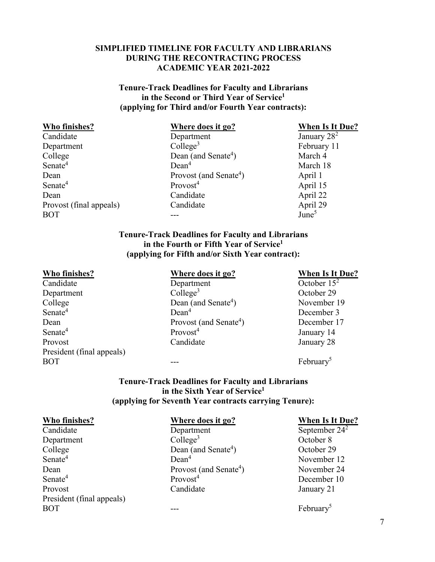#### **SIMPLIFIED TIMELINE FOR FACULTY AND LIBRARIANS DURING THE RECONTRACTING PROCESS ACADEMIC YEAR 2021-2022**

#### **Tenure-Track Deadlines for Faculty and Librarians in the Second or Third Year of Service1 (applying for Third and/or Fourth Year contracts):**

| Who finishes?           | Where does it go?                  | <b>When Is It Due?</b> |
|-------------------------|------------------------------------|------------------------|
| Candidate               | Department                         | January $28^2$         |
| Department              | Collect <sup>3</sup>               | February 11            |
| College                 | Dean (and Senate <sup>4</sup> )    | March 4                |
| Senate <sup>4</sup>     | Dean <sup>4</sup>                  | March 18               |
| Dean                    | Provost (and Senate <sup>4</sup> ) | April 1                |
| Senate <sup>4</sup>     | Provost <sup>4</sup>               | April 15               |
| Dean                    | Candidate                          | April 22               |
| Provost (final appeals) | Candidate                          | April 29               |
| <b>BOT</b>              |                                    | June <sup>5</sup>      |

#### **Tenure-Track Deadlines for Faculty and Librarians in the Fourth or Fifth Year of Service1 (applying for Fifth and/or Sixth Year contract):**

Department College<sup>3</sup> College<sup>3</sup> October 29 College Dean (and Senate<sup>4</sup>) Senate<sup>4</sup> Dean<sup>4</sup> Dean<sup>4</sup> December 3 Dean Provost (and Senate<sup>4</sup>)<br>Senate<sup>4</sup> Provost<sup>4</sup> Provost Candidate January 28 President (final appeals)  $BOT$  --- February<sup>5</sup>

**Who finishes?**<br>Candidate **Where does it go?**<br>Department **When Is It Due?**<br>October 15<sup>2</sup> Department

) November 19 ) December 17 January 14

#### **Tenure-Track Deadlines for Faculty and Librarians in the Sixth Year of Service1 (applying for Seventh Year contracts carrying Tenure):**

| Who finishes?             | Where does it go?                  | <b>When Is It Due?</b> |
|---------------------------|------------------------------------|------------------------|
| Candidate                 | Department                         | September $24^2$       |
| Department                | $Collect^3$                        | October 8              |
| College                   | Dean (and Senate <sup>4</sup> )    | October 29             |
| Senate <sup>4</sup>       | Dean <sup>4</sup>                  | November 12            |
| Dean                      | Provost (and Senate <sup>4</sup> ) | November 24            |
| Senate <sup>4</sup>       | Provost <sup>4</sup>               | December 10            |
| Provost                   | Candidate                          | January 21             |
| President (final appeals) |                                    |                        |
| <b>BOT</b>                |                                    | February <sup>5</sup>  |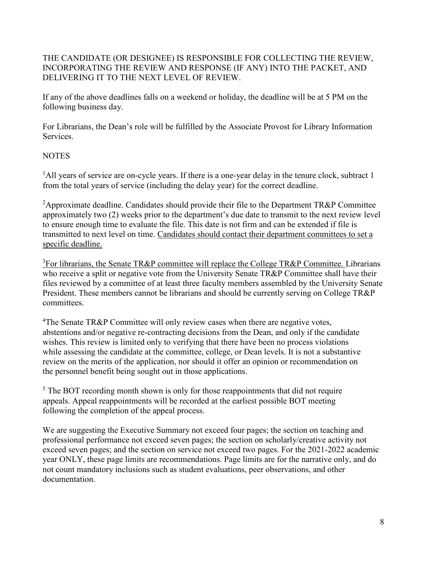#### THE CANDIDATE (OR DESIGNEE) IS RESPONSIBLE FOR COLLECTING THE REVIEW, INCORPORATING THE REVIEW AND RESPONSE (IF ANY) INTO THE PACKET, AND DELIVERING IT TO THE NEXT LEVEL OF REVIEW.

If any of the above deadlines falls on a weekend or holiday, the deadline will be at 5 PM on the following business day.

For Librarians, the Dean's role will be fulfilled by the Associate Provost for Library Information Services.

#### **NOTES**

<sup>1</sup>All years of service are on-cycle years. If there is a one-year delay in the tenure clock, subtract 1 from the total years of service (including the delay year) for the correct deadline.

<sup>2</sup>Approximate deadline. Candidates should provide their file to the Department TR&P Committee approximately two (2) weeks prior to the department's due date to transmit to the next review level to ensure enough time to evaluate the file. This date is not firm and can be extended if file is transmitted to next level on time. Candidates should contact their department committees to set a specific deadline.

 ${}^{3}$ For librarians, the Senate TR&P committee will replace the College TR&P Committee. Librarians who receive a split or negative vote from the University Senate TR&P Committee shall have their files reviewed by a committee of at least three faculty members assembled by the University Senate President. These members cannot be librarians and should be currently serving on College TR&P committees.

<sup>4</sup>The Senate TR&P Committee will only review cases when there are negative votes, abstentions and/or negative re-contracting decisions from the Dean, and only if the candidate wishes. This review is limited only to verifying that there have been no process violations while assessing the candidate at the committee, college, or Dean levels. It is not a substantive review on the merits of the application, nor should it offer an opinion or recommendation on the personnel benefit being sought out in those applications.

 $<sup>5</sup>$  The BOT recording month shown is only for those reappointments that did not require</sup> appeals. Appeal reappointments will be recorded at the earliest possible BOT meeting following the completion of the appeal process.

We are suggesting the Executive Summary not exceed four pages; the section on teaching and professional performance not exceed seven pages; the section on scholarly/creative activity not exceed seven pages; and the section on service not exceed two pages. For the 2021-2022 academic year ONLY, these page limits are recommendations. Page limits are for the narrative only, and do not count mandatory inclusions such as student evaluations, peer observations, and other documentation.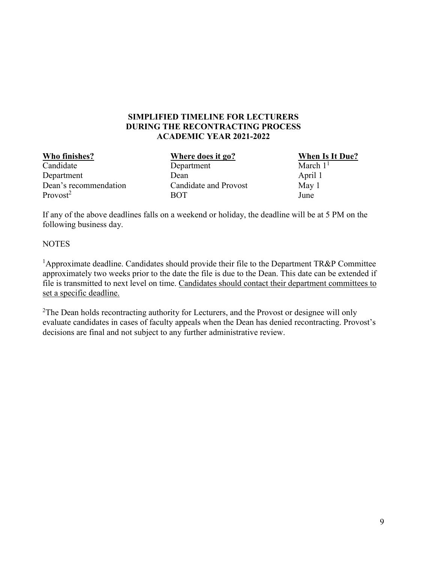#### **SIMPLIFIED TIMELINE FOR LECTURERS DURING THE RECONTRACTING PROCESS ACADEMIC YEAR 2021-2022**

Candidate Department Department Dean April 1 Dean's recommendation Candidate and Provost May 1<br>Provost<sup>2</sup> Dune Provost<sup>2</sup> BOT June

**Who finishes?**<br>Candidate **When Is It Due?**<br>Department **When Is It Due?**<br>March 1<sup>1</sup>

If any of the above deadlines falls on a weekend or holiday, the deadline will be at 5 PM on the following business day.

#### **NOTES**

<sup>1</sup>Approximate deadline. Candidates should provide their file to the Department TR&P Committee approximately two weeks prior to the date the file is due to the Dean. This date can be extended if file is transmitted to next level on time. Candidates should contact their department committees to set a specific deadline.

 $2$ The Dean holds recontracting authority for Lecturers, and the Provost or designee will only evaluate candidates in cases of faculty appeals when the Dean has denied recontracting. Provost's decisions are final and not subject to any further administrative review.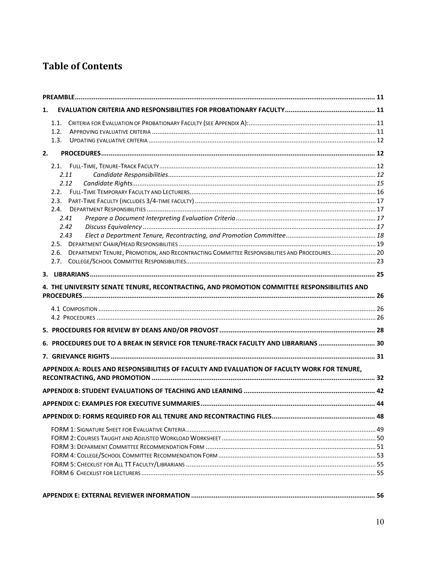## **Table of Contents**

| 1. |                                                                                                      |  |
|----|------------------------------------------------------------------------------------------------------|--|
|    | 1.1.                                                                                                 |  |
|    | 1.2.                                                                                                 |  |
|    | 1.3.                                                                                                 |  |
| 2. |                                                                                                      |  |
|    |                                                                                                      |  |
|    | 2.11                                                                                                 |  |
|    | 2.12                                                                                                 |  |
|    | 22                                                                                                   |  |
|    | 2.3.                                                                                                 |  |
|    | 2.4.                                                                                                 |  |
|    | 2.41                                                                                                 |  |
|    | 2.42                                                                                                 |  |
|    | 2.43                                                                                                 |  |
|    |                                                                                                      |  |
|    | DEPARTMENT TENURE, PROMOTION, AND RECONTRACTING COMMITTEE RESPONSIBILITIES AND PROCEDURES 20<br>2.6. |  |
|    | 2.7.                                                                                                 |  |
|    |                                                                                                      |  |
|    | 4. THE UNIVERSITY SENATE TENURE, RECONTRACTING, AND PROMOTION COMMITTEE RESPONSIBILITIES AND         |  |
|    |                                                                                                      |  |
|    | 6. PROCEDURES DUE TO A BREAK IN SERVICE FOR TENURE-TRACK FACULTY AND LIBRARIANS  30                  |  |
|    |                                                                                                      |  |
|    | APPENDIX A: ROLES AND RESPONSIBILITIES OF FACULTY AND EVALUATION OF FACULTY WORK FOR TENURE,         |  |
|    |                                                                                                      |  |
|    |                                                                                                      |  |
|    |                                                                                                      |  |
|    |                                                                                                      |  |
|    |                                                                                                      |  |
|    |                                                                                                      |  |
|    |                                                                                                      |  |
|    |                                                                                                      |  |
|    |                                                                                                      |  |
|    |                                                                                                      |  |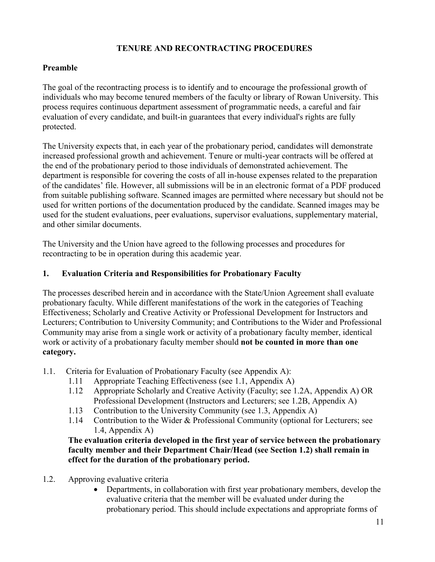#### **TENURE AND RECONTRACTING PROCEDURES**

#### <span id="page-10-0"></span>**Preamble**

The goal of the recontracting process is to identify and to encourage the professional growth of individuals who may become tenured members of the faculty or library of Rowan University. This process requires continuous department assessment of programmatic needs, a careful and fair evaluation of every candidate, and built-in guarantees that every individual's rights are fully protected.

The University expects that, in each year of the probationary period, candidates will demonstrate increased professional growth and achievement. Tenure or multi-year contracts will be offered at the end of the probationary period to those individuals of demonstrated achievement. The department is responsible for covering the costs of all in-house expenses related to the preparation of the candidates' file. However, all submissions will be in an electronic format of a PDF produced from suitable publishing software. Scanned images are permitted where necessary but should not be used for written portions of the documentation produced by the candidate. Scanned images may be used for the student evaluations, peer evaluations, supervisor evaluations, supplementary material, and other similar documents.

The University and the Union have agreed to the following processes and procedures for recontracting to be in operation during this academic year.

#### <span id="page-10-1"></span>**1. Evaluation Criteria and Responsibilities for Probationary Faculty**

The processes described herein and in accordance with the State/Union Agreement shall evaluate probationary faculty. While different manifestations of the work in the categories of Teaching Effectiveness; Scholarly and Creative Activity or Professional Development for Instructors and Lecturers; Contribution to University Community; and Contributions to the Wider and Professional Community may arise from a single work or activity of a probationary faculty member, identical work or activity of a probationary faculty member should **not be counted in more than one category.**

- <span id="page-10-2"></span>1.1. Criteria for Evaluation of Probationary Faculty (see Appendix A):
	- 1.11 Appropriate Teaching Effectiveness (see 1.1, Appendix A)
	- 1.12 Appropriate Scholarly and Creative Activity (Faculty; see 1.2A, Appendix A) OR Professional Development (Instructors and Lecturers; see 1.2B, Appendix A)
	- 1.13 Contribution to the University Community (see 1.3, Appendix A)
	- 1.14 Contribution to the Wider & Professional Community (optional for Lecturers; see 1.4, Appendix A)

**The evaluation criteria developed in the first year of service between the probationary faculty member and their Department Chair/Head (see Section 1.2) shall remain in effect for the duration of the probationary period.**

- <span id="page-10-3"></span>1.2. Approving evaluative criteria
	- Departments, in collaboration with first year probationary members, develop the evaluative criteria that the member will be evaluated under during the probationary period. This should include expectations and appropriate forms of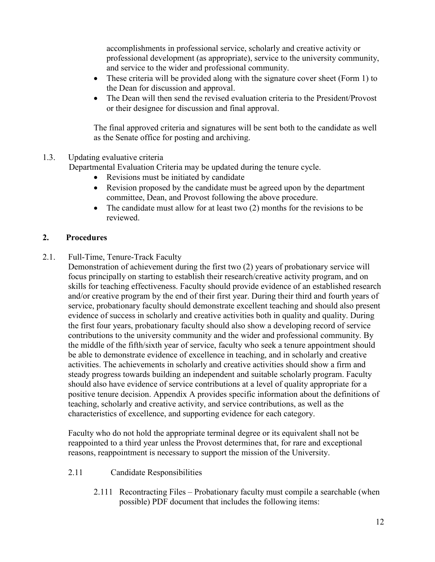accomplishments in professional service, scholarly and creative activity or professional development (as appropriate), service to the university community, and service to the wider and professional community.

- These criteria will be provided along with the signature cover sheet (Form 1) to the Dean for discussion and approval.
- The Dean will then send the revised evaluation criteria to the President/Provost or their designee for discussion and final approval.

The final approved criteria and signatures will be sent both to the candidate as well as the Senate office for posting and archiving.

#### <span id="page-11-0"></span>1.3. Updating evaluative criteria

Departmental Evaluation Criteria may be updated during the tenure cycle.

- Revisions must be initiated by candidate
- Revision proposed by the candidate must be agreed upon by the department committee, Dean, and Provost following the above procedure.
- The candidate must allow for at least two (2) months for the revisions to be reviewed.

#### <span id="page-11-1"></span>**2. Procedures**

<span id="page-11-2"></span>2.1. Full-Time, Tenure-Track Faculty

Demonstration of achievement during the first two (2) years of probationary service will focus principally on starting to establish their research/creative activity program, and on skills for teaching effectiveness. Faculty should provide evidence of an established research and/or creative program by the end of their first year. During their third and fourth years of service, probationary faculty should demonstrate excellent teaching and should also present evidence of success in scholarly and creative activities both in quality and quality. During the first four years, probationary faculty should also show a developing record of service contributions to the university community and the wider and professional community. By the middle of the fifth/sixth year of service, faculty who seek a tenure appointment should be able to demonstrate evidence of excellence in teaching, and in scholarly and creative activities. The achievements in scholarly and creative activities should show a firm and steady progress towards building an independent and suitable scholarly program. Faculty should also have evidence of service contributions at a level of quality appropriate for a positive tenure decision. Appendix A provides specific information about the definitions of teaching, scholarly and creative activity, and service contributions, as well as the characteristics of excellence, and supporting evidence for each category.

Faculty who do not hold the appropriate terminal degree or its equivalent shall not be reappointed to a third year unless the Provost determines that, for rare and exceptional reasons, reappointment is necessary to support the mission of the University.

- <span id="page-11-3"></span>2.11 Candidate Responsibilities
	- 2.111 Recontracting Files Probationary faculty must compile a searchable (when possible) PDF document that includes the following items: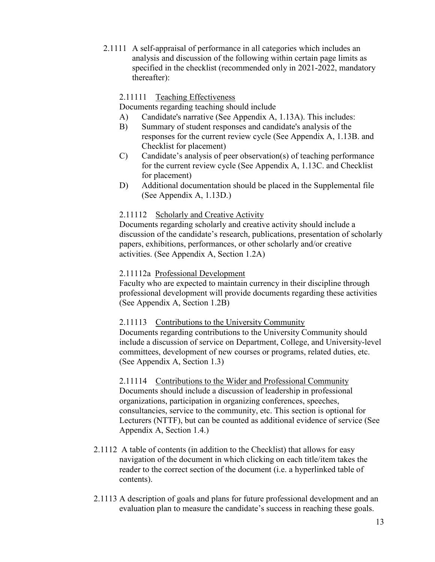2.1111 A self-appraisal of performance in all categories which includes an analysis and discussion of the following within certain page limits as specified in the checklist (recommended only in 2021-2022, mandatory thereafter):

#### 2.11111 Teaching Effectiveness

Documents regarding teaching should include

- A) Candidate's narrative (See Appendix A, 1.13A). This includes:
- B) Summary of student responses and candidate's analysis of the responses for the current review cycle (See Appendix A, 1.13B. and Checklist for placement)
- C) Candidate's analysis of peer observation(s) of teaching performance for the current review cycle (See Appendix A, 1.13C. and Checklist for placement)
- D) Additional documentation should be placed in the Supplemental file (See Appendix A, 1.13D.)

#### 2.11112 Scholarly and Creative Activity

Documents regarding scholarly and creative activity should include a discussion of the candidate's research, publications, presentation of scholarly papers, exhibitions, performances, or other scholarly and/or creative activities. (See Appendix A, Section 1.2A)

#### 2.11112a Professional Development

Faculty who are expected to maintain currency in their discipline through professional development will provide documents regarding these activities (See Appendix A, Section 1.2B)

#### 2.11113 Contributions to the University Community

Documents regarding contributions to the University Community should include a discussion of service on Department, College, and University-level committees, development of new courses or programs, related duties, etc. (See Appendix A, Section 1.3)

2.11114 Contributions to the Wider and Professional Community Documents should include a discussion of leadership in professional organizations, participation in organizing conferences, speeches, consultancies, service to the community, etc. This section is optional for Lecturers (NTTF), but can be counted as additional evidence of service (See Appendix A, Section 1.4.)

- 2.1112 A table of contents (in addition to the Checklist) that allows for easy navigation of the document in which clicking on each title/item takes the reader to the correct section of the document (i.e. a hyperlinked table of contents).
- 2.1113 A description of goals and plans for future professional development and an evaluation plan to measure the candidate's success in reaching these goals.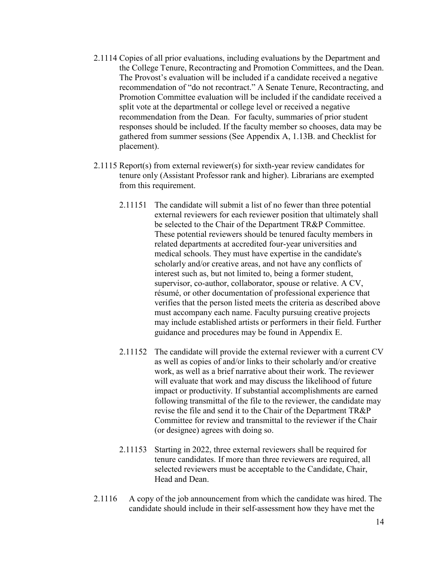- 2.1114 Copies of all prior evaluations, including evaluations by the Department and the College Tenure, Recontracting and Promotion Committees, and the Dean. The Provost's evaluation will be included if a candidate received a negative recommendation of "do not recontract." A Senate Tenure, Recontracting, and Promotion Committee evaluation will be included if the candidate received a split vote at the departmental or college level or received a negative recommendation from the Dean. For faculty, summaries of prior student responses should be included. If the faculty member so chooses, data may be gathered from summer sessions (See Appendix A, 1.13B. and Checklist for placement).
- 2.1115 Report(s) from external reviewer(s) for sixth-year review candidates for tenure only (Assistant Professor rank and higher). Librarians are exempted from this requirement.
	- 2.11151 The candidate will submit a list of no fewer than three potential external reviewers for each reviewer position that ultimately shall be selected to the Chair of the Department TR&P Committee. These potential reviewers should be tenured faculty members in related departments at accredited four-year universities and medical schools. They must have expertise in the candidate's scholarly and/or creative areas, and not have any conflicts of interest such as, but not limited to, being a former student, supervisor, co-author, collaborator, spouse or relative. A CV, résumé, or other documentation of professional experience that verifies that the person listed meets the criteria as described above must accompany each name. Faculty pursuing creative projects may include established artists or performers in their field. Further guidance and procedures may be found in Appendix E.
	- 2.11152 The candidate will provide the external reviewer with a current CV as well as copies of and/or links to their scholarly and/or creative work, as well as a brief narrative about their work. The reviewer will evaluate that work and may discuss the likelihood of future impact or productivity. If substantial accomplishments are earned following transmittal of the file to the reviewer, the candidate may revise the file and send it to the Chair of the Department TR&P Committee for review and transmittal to the reviewer if the Chair (or designee) agrees with doing so.
	- 2.11153 Starting in 2022, three external reviewers shall be required for tenure candidates. If more than three reviewers are required, all selected reviewers must be acceptable to the Candidate, Chair, Head and Dean.
- 2.1116 A copy of the job announcement from which the candidate was hired. The candidate should include in their self-assessment how they have met the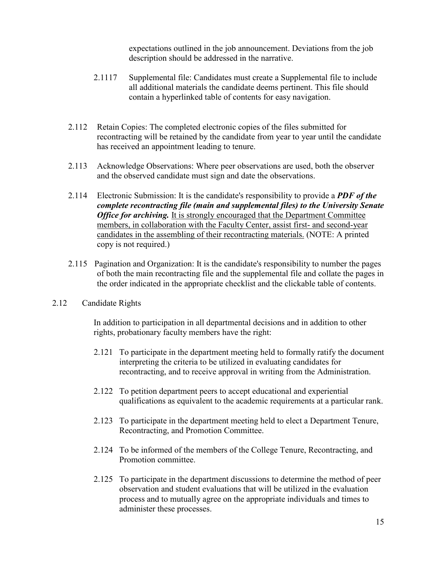expectations outlined in the job announcement. Deviations from the job description should be addressed in the narrative.

- 2.1117 Supplemental file: Candidates must create a Supplemental file to include all additional materials the candidate deems pertinent. This file should contain a hyperlinked table of contents for easy navigation.
- 2.112 Retain Copies: The completed electronic copies of the files submitted for recontracting will be retained by the candidate from year to year until the candidate has received an appointment leading to tenure.
- 2.113 Acknowledge Observations: Where peer observations are used, both the observer and the observed candidate must sign and date the observations.
- 2.114 Electronic Submission: It is the candidate's responsibility to provide a *PDF of the complete recontracting file (main and supplemental files) to the University Senate Office for archiving.* It is strongly encouraged that the Department Committee members, in collaboration with the Faculty Center, assist first- and second-year candidates in the assembling of their recontracting materials. (NOTE: A printed copy is not required.)
- 2.115 Pagination and Organization: It is the candidate's responsibility to number the pages of both the main recontracting file and the supplemental file and collate the pages in the order indicated in the appropriate checklist and the clickable table of contents.
- <span id="page-14-0"></span>2.12 Candidate Rights

In addition to participation in all departmental decisions and in addition to other rights, probationary faculty members have the right:

- 2.121 To participate in the department meeting held to formally ratify the document interpreting the criteria to be utilized in evaluating candidates for recontracting, and to receive approval in writing from the Administration.
- 2.122 To petition department peers to accept educational and experiential qualifications as equivalent to the academic requirements at a particular rank.
- 2.123 To participate in the department meeting held to elect a Department Tenure, Recontracting, and Promotion Committee.
- 2.124 To be informed of the members of the College Tenure, Recontracting, and Promotion committee.
- 2.125 To participate in the department discussions to determine the method of peer observation and student evaluations that will be utilized in the evaluation process and to mutually agree on the appropriate individuals and times to administer these processes.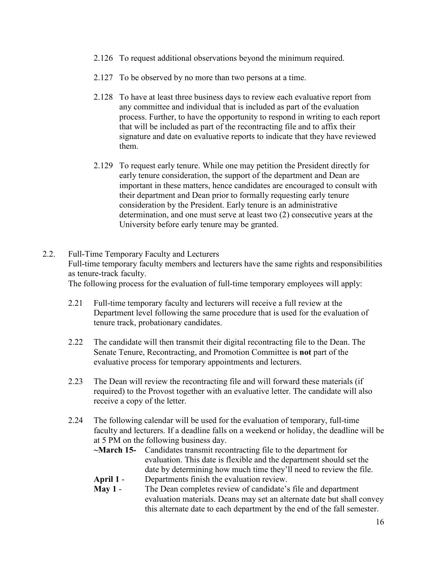- 2.126 To request additional observations beyond the minimum required.
- 2.127 To be observed by no more than two persons at a time.
- 2.128 To have at least three business days to review each evaluative report from any committee and individual that is included as part of the evaluation process. Further, to have the opportunity to respond in writing to each report that will be included as part of the recontracting file and to affix their signature and date on evaluative reports to indicate that they have reviewed them.
- 2.129 To request early tenure. While one may petition the President directly for early tenure consideration, the support of the department and Dean are important in these matters, hence candidates are encouraged to consult with their department and Dean prior to formally requesting early tenure consideration by the President. Early tenure is an administrative determination, and one must serve at least two (2) consecutive years at the University before early tenure may be granted.
- <span id="page-15-0"></span>2.2. Full-Time Temporary Faculty and Lecturers Full-time temporary faculty members and lecturers have the same rights and responsibilities as tenure-track faculty. The following process for the evaluation of full-time temporary employees will apply:

- 2.21 Full-time temporary faculty and lecturers will receive a full review at the Department level following the same procedure that is used for the evaluation of tenure track, probationary candidates.
- 2.22 The candidate will then transmit their digital recontracting file to the Dean. The Senate Tenure, Recontracting, and Promotion Committee is **not** part of the evaluative process for temporary appointments and lecturers.
- 2.23 The Dean will review the recontracting file and will forward these materials (if required) to the Provost together with an evaluative letter. The candidate will also receive a copy of the letter.
- 2.24 The following calendar will be used for the evaluation of temporary, full-time faculty and lecturers. If a deadline falls on a weekend or holiday, the deadline will be at 5 PM on the following business day.
	- **~March 15-** Candidates transmit recontracting file to the department for evaluation. This date is flexible and the department should set the date by determining how much time they'll need to review the file. **April 1** - Departments finish the evaluation review.

**May 1** - The Dean completes review of candidate's file and department evaluation materials. Deans may set an alternate date but shall convey this alternate date to each department by the end of the fall semester.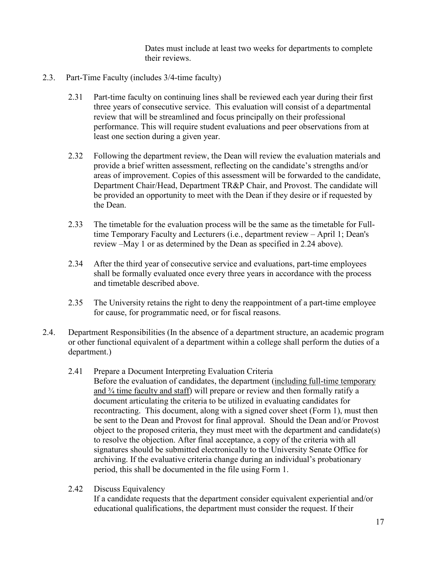Dates must include at least two weeks for departments to complete their reviews.

- <span id="page-16-0"></span>2.3. Part-Time Faculty (includes 3/4-time faculty)
	- 2.31 Part-time faculty on continuing lines shall be reviewed each year during their first three years of consecutive service. This evaluation will consist of a departmental review that will be streamlined and focus principally on their professional performance. This will require student evaluations and peer observations from at least one section during a given year.
	- 2.32 Following the department review, the Dean will review the evaluation materials and provide a brief written assessment, reflecting on the candidate's strengths and/or areas of improvement. Copies of this assessment will be forwarded to the candidate, Department Chair/Head, Department TR&P Chair, and Provost. The candidate will be provided an opportunity to meet with the Dean if they desire or if requested by the Dean.
	- 2.33 The timetable for the evaluation process will be the same as the timetable for Fulltime Temporary Faculty and Lecturers (i.e., department review – April 1; Dean's review –May 1 or as determined by the Dean as specified in 2.24 above).
	- 2.34 After the third year of consecutive service and evaluations, part-time employees shall be formally evaluated once every three years in accordance with the process and timetable described above.
	- 2.35 The University retains the right to deny the reappointment of a part-time employee for cause, for programmatic need, or for fiscal reasons.
- <span id="page-16-2"></span><span id="page-16-1"></span>2.4. Department Responsibilities (In the absence of a department structure, an academic program or other functional equivalent of a department within a college shall perform the duties of a department.)
	- 2.41 Prepare a Document Interpreting Evaluation Criteria Before the evaluation of candidates, the department (including full-time temporary and ¾ time faculty and staff) will prepare or review and then formally ratify a document articulating the criteria to be utilized in evaluating candidates for recontracting. This document, along with a signed cover sheet (Form 1), must then be sent to the Dean and Provost for final approval. Should the Dean and/or Provost object to the proposed criteria, they must meet with the department and candidate(s) to resolve the objection. After final acceptance, a copy of the criteria with all signatures should be submitted electronically to the University Senate Office for archiving. If the evaluative criteria change during an individual's probationary period, this shall be documented in the file using Form 1.
	- 2.42 Discuss Equivalency

<span id="page-16-3"></span>If a candidate requests that the department consider equivalent experiential and/or educational qualifications, the department must consider the request. If their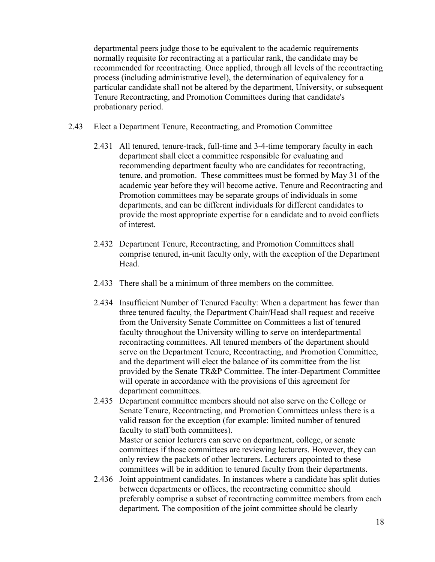departmental peers judge those to be equivalent to the academic requirements normally requisite for recontracting at a particular rank, the candidate may be recommended for recontracting. Once applied, through all levels of the recontracting process (including administrative level), the determination of equivalency for a particular candidate shall not be altered by the department, University, or subsequent Tenure Recontracting, and Promotion Committees during that candidate's probationary period.

- <span id="page-17-0"></span>2.43 Elect a Department Tenure, Recontracting, and Promotion Committee
	- 2.431 All tenured, tenure-track, full-time and 3-4-time temporary faculty in each department shall elect a committee responsible for evaluating and recommending department faculty who are candidates for recontracting, tenure, and promotion. These committees must be formed by May 31 of the academic year before they will become active. Tenure and Recontracting and Promotion committees may be separate groups of individuals in some departments, and can be different individuals for different candidates to provide the most appropriate expertise for a candidate and to avoid conflicts of interest.
	- 2.432 Department Tenure, Recontracting, and Promotion Committees shall comprise tenured, in-unit faculty only, with the exception of the Department Head.
	- 2.433 There shall be a minimum of three members on the committee.
	- 2.434 Insufficient Number of Tenured Faculty: When a department has fewer than three tenured faculty, the Department Chair/Head shall request and receive from the University Senate Committee on Committees a list of tenured faculty throughout the University willing to serve on interdepartmental recontracting committees. All tenured members of the department should serve on the Department Tenure, Recontracting, and Promotion Committee, and the department will elect the balance of its committee from the list provided by the Senate TR&P Committee. The inter-Department Committee will operate in accordance with the provisions of this agreement for department committees.
	- 2.435 Department committee members should not also serve on the College or Senate Tenure, Recontracting, and Promotion Committees unless there is a valid reason for the exception (for example: limited number of tenured faculty to staff both committees). Master or senior lecturers can serve on department, college, or senate committees if those committees are reviewing lecturers. However, they can only review the packets of other lecturers. Lecturers appointed to these
	- committees will be in addition to tenured faculty from their departments. 2.436 Joint appointment candidates. In instances where a candidate has split duties between departments or offices, the recontracting committee should preferably comprise a subset of recontracting committee members from each department. The composition of the joint committee should be clearly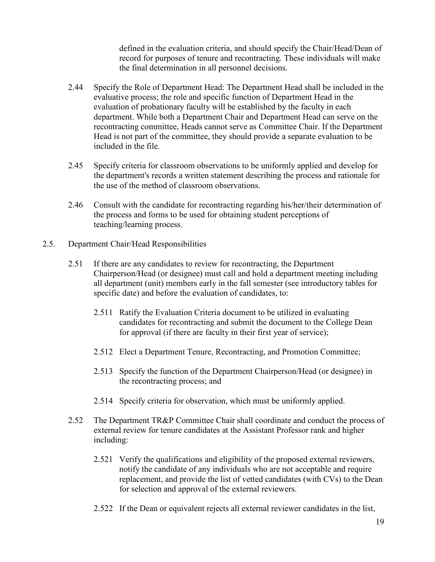defined in the evaluation criteria, and should specify the Chair/Head/Dean of record for purposes of tenure and recontracting. These individuals will make the final determination in all personnel decisions.

- 2.44 Specify the Role of Department Head: The Department Head shall be included in the evaluative process; the role and specific function of Department Head in the evaluation of probationary faculty will be established by the faculty in each department. While both a Department Chair and Department Head can serve on the recontracting committee, Heads cannot serve as Committee Chair. If the Department Head is not part of the committee, they should provide a separate evaluation to be included in the file.
- 2.45 Specify criteria for classroom observations to be uniformly applied and develop for the department's records a written statement describing the process and rationale for the use of the method of classroom observations.
- 2.46 Consult with the candidate for recontracting regarding his/her/their determination of the process and forms to be used for obtaining student perceptions of teaching/learning process.
- <span id="page-18-0"></span>2.5. Department Chair/Head Responsibilities
	- 2.51 If there are any candidates to review for recontracting, the Department Chairperson/Head (or designee) must call and hold a department meeting including all department (unit) members early in the fall semester (see introductory tables for specific date) and before the evaluation of candidates, to:
		- 2.511 Ratify the Evaluation Criteria document to be utilized in evaluating candidates for recontracting and submit the document to the College Dean for approval (if there are faculty in their first year of service);
		- 2.512 Elect a Department Tenure, Recontracting, and Promotion Committee;
		- 2.513 Specify the function of the Department Chairperson/Head (or designee) in the recontracting process; and
		- 2.514 Specify criteria for observation, which must be uniformly applied.
	- 2.52 The Department TR&P Committee Chair shall coordinate and conduct the process of external review for tenure candidates at the Assistant Professor rank and higher including:
		- 2.521 Verify the qualifications and eligibility of the proposed external reviewers, notify the candidate of any individuals who are not acceptable and require replacement, and provide the list of vetted candidates (with CVs) to the Dean for selection and approval of the external reviewers.
		- 2.522 If the Dean or equivalent rejects all external reviewer candidates in the list,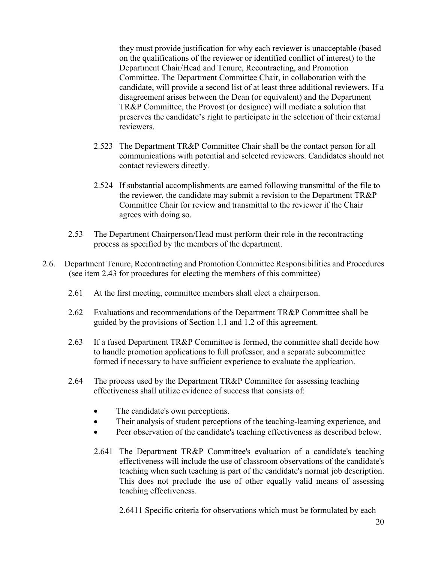they must provide justification for why each reviewer is unacceptable (based on the qualifications of the reviewer or identified conflict of interest) to the Department Chair/Head and Tenure, Recontracting, and Promotion Committee. The Department Committee Chair, in collaboration with the candidate, will provide a second list of at least three additional reviewers. If a disagreement arises between the Dean (or equivalent) and the Department TR&P Committee, the Provost (or designee) will mediate a solution that preserves the candidate's right to participate in the selection of their external reviewers.

- 2.523 The Department TR&P Committee Chair shall be the contact person for all communications with potential and selected reviewers. Candidates should not contact reviewers directly.
- 2.524 If substantial accomplishments are earned following transmittal of the file to the reviewer, the candidate may submit a revision to the Department TR&P Committee Chair for review and transmittal to the reviewer if the Chair agrees with doing so.
- 2.53 The Department Chairperson/Head must perform their role in the recontracting process as specified by the members of the department.
- <span id="page-19-0"></span>2.6. Department Tenure, Recontracting and Promotion Committee Responsibilities and Procedures (see item 2.43 for procedures for electing the members of this committee)
	- 2.61 At the first meeting, committee members shall elect a chairperson.
	- 2.62 Evaluations and recommendations of the Department TR&P Committee shall be guided by the provisions of Section 1.1 and 1.2 of this agreement.
	- 2.63 If a fused Department TR&P Committee is formed, the committee shall decide how to handle promotion applications to full professor, and a separate subcommittee formed if necessary to have sufficient experience to evaluate the application.
	- 2.64 The process used by the Department TR&P Committee for assessing teaching effectiveness shall utilize evidence of success that consists of:
		- The candidate's own perceptions.
		- Their analysis of student perceptions of the teaching-learning experience, and
		- Peer observation of the candidate's teaching effectiveness as described below.
		- 2.641 The Department TR&P Committee's evaluation of a candidate's teaching effectiveness will include the use of classroom observations of the candidate's teaching when such teaching is part of the candidate's normal job description. This does not preclude the use of other equally valid means of assessing teaching effectiveness.

2.6411 Specific criteria for observations which must be formulated by each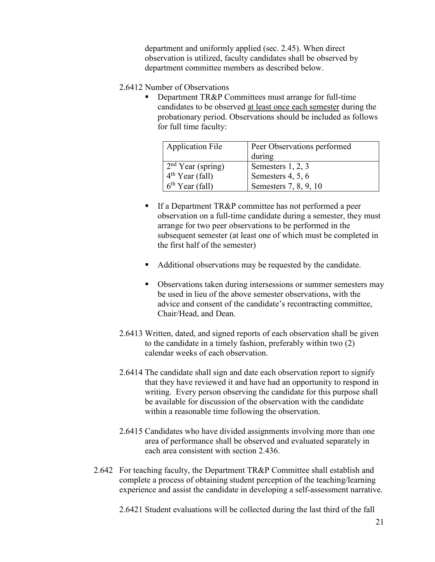department and uniformly applied (sec. 2.45). When direct observation is utilized, faculty candidates shall be observed by department committee members as described below.

- 2.6412 Number of Observations
	- Department TR&P Committees must arrange for full-time candidates to be observed at least once each semester during the probationary period. Observations should be included as follows for full time faculty:

| <b>Application File</b>       | Peer Observations performed |
|-------------------------------|-----------------------------|
|                               | during                      |
| 2 <sup>nd</sup> Year (spring) | Semesters 1, 2, 3           |
| $4th$ Year (fall)             | Semesters 4, 5, 6           |
| $6th$ Year (fall)             | Semesters 7, 8, 9, 10       |

- If a Department TR&P committee has not performed a peer observation on a full-time candidate during a semester, they must arrange for two peer observations to be performed in the subsequent semester (at least one of which must be completed in the first half of the semester)
- Additional observations may be requested by the candidate.
- Observations taken during intersessions or summer semesters may be used in lieu of the above semester observations, with the advice and consent of the candidate's recontracting committee, Chair/Head, and Dean.
- 2.6413 Written, dated, and signed reports of each observation shall be given to the candidate in a timely fashion, preferably within two (2) calendar weeks of each observation.
- 2.6414 The candidate shall sign and date each observation report to signify that they have reviewed it and have had an opportunity to respond in writing. Every person observing the candidate for this purpose shall be available for discussion of the observation with the candidate within a reasonable time following the observation.
- 2.6415 Candidates who have divided assignments involving more than one area of performance shall be observed and evaluated separately in each area consistent with section 2.436.
- 2.642 For teaching faculty, the Department TR&P Committee shall establish and complete a process of obtaining student perception of the teaching/learning experience and assist the candidate in developing a self-assessment narrative.

2.6421 Student evaluations will be collected during the last third of the fall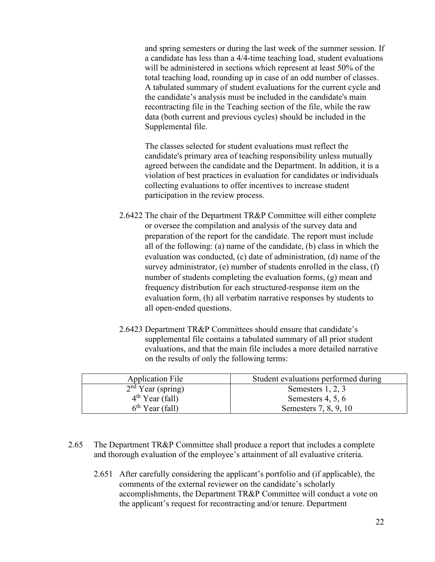and spring semesters or during the last week of the summer session. If a candidate has less than a 4/4-time teaching load, student evaluations will be administered in sections which represent at least 50% of the total teaching load, rounding up in case of an odd number of classes. A tabulated summary of student evaluations for the current cycle and the candidate's analysis must be included in the candidate's main recontracting file in the Teaching section of the file, while the raw data (both current and previous cycles) should be included in the Supplemental file.

The classes selected for student evaluations must reflect the candidate's primary area of teaching responsibility unless mutually agreed between the candidate and the Department. In addition, it is a violation of best practices in evaluation for candidates or individuals collecting evaluations to offer incentives to increase student participation in the review process.

- 2.6422 The chair of the Department TR&P Committee will either complete or oversee the compilation and analysis of the survey data and preparation of the report for the candidate. The report must include all of the following: (a) name of the candidate, (b) class in which the evaluation was conducted, (c) date of administration, (d) name of the survey administrator, (e) number of students enrolled in the class, (f) number of students completing the evaluation forms, (g) mean and frequency distribution for each structured-response item on the evaluation form, (h) all verbatim narrative responses by students to all open-ended questions.
- 2.6423 Department TR&P Committees should ensure that candidate's supplemental file contains a tabulated summary of all prior student evaluations, and that the main file includes a more detailed narrative on the results of only the following terms:

| <b>Application File</b> | Student evaluations performed during |
|-------------------------|--------------------------------------|
| $2nd$ Year (spring)     | Semesters 1, 2, 3                    |
| $4th$ Year (fall)       | Semesters 4, 5, 6                    |
| $6th$ Year (fall)       | Semesters 7, 8, 9, 10                |

- 2.65 The Department TR&P Committee shall produce a report that includes a complete and thorough evaluation of the employee's attainment of all evaluative criteria.
	- 2.651 After carefully considering the applicant's portfolio and (if applicable), the comments of the external reviewer on the candidate's scholarly accomplishments, the Department TR&P Committee will conduct a vote on the applicant's request for recontracting and/or tenure. Department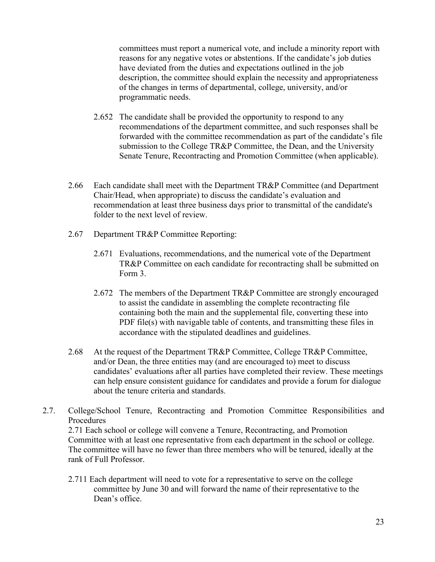<span id="page-22-0"></span>committees must report a numerical vote, and include a minority report with reasons for any negative votes or abstentions. If the candidate's job duties have deviated from the duties and expectations outlined in the job description, the committee should explain the necessity and appropriateness of the changes in terms of departmental, college, university, and/or programmatic needs.

- 2.652 The candidate shall be provided the opportunity to respond to any recommendations of the department committee, and such responses shall be forwarded with the committee recommendation as part of the candidate's file submission to the College TR&P Committee, the Dean, and the University Senate Tenure, Recontracting and Promotion Committee (when applicable).
- 2.66 Each candidate shall meet with the Department TR&P Committee (and Department Chair/Head, when appropriate) to discuss the candidate's evaluation and recommendation at least three business days prior to transmittal of the candidate's folder to the next level of review.
- 2.67 Department TR&P Committee Reporting:
	- 2.671 Evaluations, recommendations, and the numerical vote of the Department TR&P Committee on each candidate for recontracting shall be submitted on Form 3.
	- 2.672 The members of the Department TR&P Committee are strongly encouraged to assist the candidate in assembling the complete recontracting file containing both the main and the supplemental file, converting these into PDF file(s) with navigable table of contents, and transmitting these files in accordance with the stipulated deadlines and guidelines.
- 2.68 At the request of the Department TR&P Committee, College TR&P Committee, and/or Dean, the three entities may (and are encouraged to) meet to discuss candidates' evaluations after all parties have completed their review. These meetings can help ensure consistent guidance for candidates and provide a forum for dialogue about the tenure criteria and standards.
- 2.7. College/School Tenure, Recontracting and Promotion Committee Responsibilities and Procedures

2.71 Each school or college will convene a Tenure, Recontracting, and Promotion Committee with at least one representative from each department in the school or college. The committee will have no fewer than three members who will be tenured, ideally at the rank of Full Professor.

2.711 Each department will need to vote for a representative to serve on the college committee by June 30 and will forward the name of their representative to the Dean's office.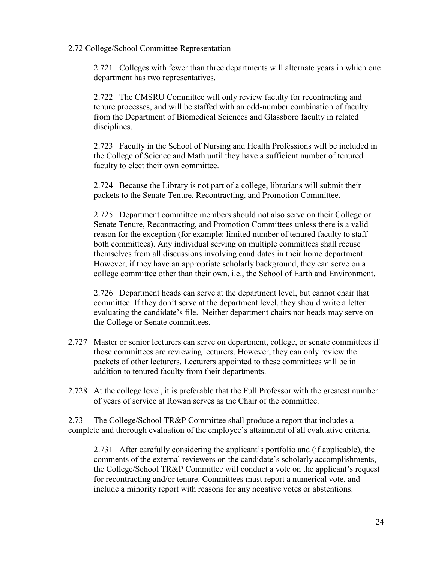#### 2.72 College/School Committee Representation

2.721 Colleges with fewer than three departments will alternate years in which one department has two representatives.

2.722 The CMSRU Committee will only review faculty for recontracting and tenure processes, and will be staffed with an odd-number combination of faculty from the Department of Biomedical Sciences and Glassboro faculty in related disciplines.

2.723 Faculty in the School of Nursing and Health Professions will be included in the College of Science and Math until they have a sufficient number of tenured faculty to elect their own committee.

2.724 Because the Library is not part of a college, librarians will submit their packets to the Senate Tenure, Recontracting, and Promotion Committee.

2.725 Department committee members should not also serve on their College or Senate Tenure, Recontracting, and Promotion Committees unless there is a valid reason for the exception (for example: limited number of tenured faculty to staff both committees). Any individual serving on multiple committees shall recuse themselves from all discussions involving candidates in their home department. However, if they have an appropriate scholarly background, they can serve on a college committee other than their own, i.e., the School of Earth and Environment.

2.726 Department heads can serve at the department level, but cannot chair that committee. If they don't serve at the department level, they should write a letter evaluating the candidate's file. Neither department chairs nor heads may serve on the College or Senate committees.

- 2.727 Master or senior lecturers can serve on department, college, or senate committees if those committees are reviewing lecturers. However, they can only review the packets of other lecturers. Lecturers appointed to these committees will be in addition to tenured faculty from their departments.
- 2.728 At the college level, it is preferable that the Full Professor with the greatest number of years of service at Rowan serves as the Chair of the committee.

2.73 The College/School TR&P Committee shall produce a report that includes a complete and thorough evaluation of the employee's attainment of all evaluative criteria.

2.731 After carefully considering the applicant's portfolio and (if applicable), the comments of the external reviewers on the candidate's scholarly accomplishments, the College/School TR&P Committee will conduct a vote on the applicant's request for recontracting and/or tenure. Committees must report a numerical vote, and include a minority report with reasons for any negative votes or abstentions.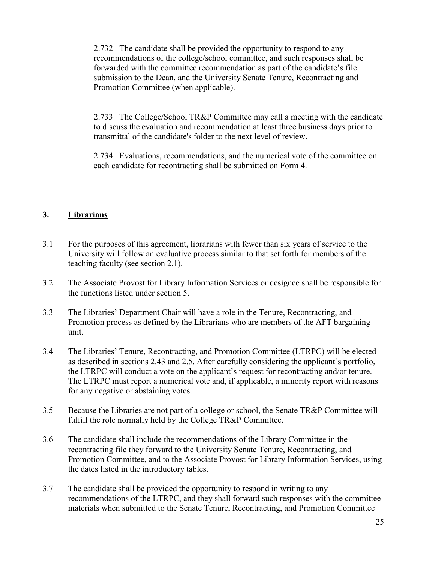2.732 The candidate shall be provided the opportunity to respond to any recommendations of the college/school committee, and such responses shall be forwarded with the committee recommendation as part of the candidate's file submission to the Dean, and the University Senate Tenure, Recontracting and Promotion Committee (when applicable).

2.733 The College/School TR&P Committee may call a meeting with the candidate to discuss the evaluation and recommendation at least three business days prior to transmittal of the candidate's folder to the next level of review.

2.734 Evaluations, recommendations, and the numerical vote of the committee on each candidate for recontracting shall be submitted on Form 4.

#### <span id="page-24-0"></span>**3. Librarians**

- 3.1 For the purposes of this agreement, librarians with fewer than six years of service to the University will follow an evaluative process similar to that set forth for members of the teaching faculty (see section 2.1).
- 3.2 The Associate Provost for Library Information Services or designee shall be responsible for the functions listed under section 5.
- 3.3 The Libraries' Department Chair will have a role in the Tenure, Recontracting, and Promotion process as defined by the Librarians who are members of the AFT bargaining unit.
- 3.4 The Libraries' Tenure, Recontracting, and Promotion Committee (LTRPC) will be elected as described in sections 2.43 and 2.5. After carefully considering the applicant's portfolio, the LTRPC will conduct a vote on the applicant's request for recontracting and/or tenure. The LTRPC must report a numerical vote and, if applicable, a minority report with reasons for any negative or abstaining votes.
- 3.5 Because the Libraries are not part of a college or school, the Senate TR&P Committee will fulfill the role normally held by the College TR&P Committee.
- 3.6 The candidate shall include the recommendations of the Library Committee in the recontracting file they forward to the University Senate Tenure, Recontracting, and Promotion Committee, and to the Associate Provost for Library Information Services, using the dates listed in the introductory tables.
- 3.7 The candidate shall be provided the opportunity to respond in writing to any recommendations of the LTRPC, and they shall forward such responses with the committee materials when submitted to the Senate Tenure, Recontracting, and Promotion Committee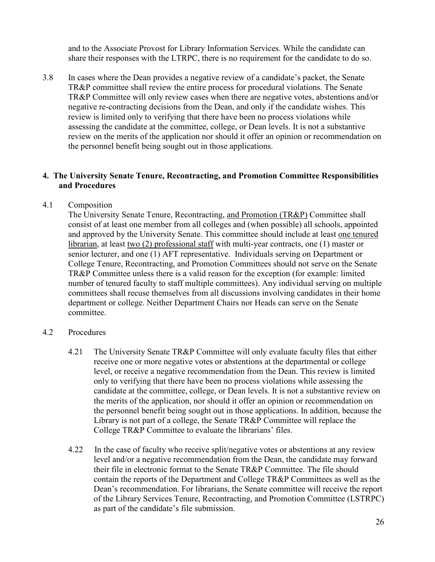and to the Associate Provost for Library Information Services. While the candidate can share their responses with the LTRPC, there is no requirement for the candidate to do so.

3.8 In cases where the Dean provides a negative review of a candidate's packet, the Senate TR&P committee shall review the entire process for procedural violations. The Senate TR&P Committee will only review cases when there are negative votes, abstentions and/or negative re-contracting decisions from the Dean, and only if the candidate wishes. This review is limited only to verifying that there have been no process violations while assessing the candidate at the committee, college, or Dean levels. It is not a substantive review on the merits of the application nor should it offer an opinion or recommendation on the personnel benefit being sought out in those applications.

#### <span id="page-25-0"></span>**4. The University Senate Tenure, Recontracting, and Promotion Committee Responsibilities and Procedures**

#### <span id="page-25-1"></span>4.1 Composition

The University Senate Tenure, Recontracting, and Promotion (TR&P) Committee shall consist of at least one member from all colleges and (when possible) all schools, appointed and approved by the University Senate. This committee should include at least one tenured librarian, at least two (2) professional staff with multi-year contracts, one (1) master or senior lecturer, and one (1) AFT representative. Individuals serving on Department or College Tenure, Recontracting, and Promotion Committees should not serve on the Senate TR&P Committee unless there is a valid reason for the exception (for example: limited number of tenured faculty to staff multiple committees). Any individual serving on multiple committees shall recuse themselves from all discussions involving candidates in their home department or college. Neither Department Chairs nor Heads can serve on the Senate committee.

#### <span id="page-25-2"></span>4.2 Procedures

- 4.21 The University Senate TR&P Committee will only evaluate faculty files that either receive one or more negative votes or abstentions at the departmental or college level, or receive a negative recommendation from the Dean. This review is limited only to verifying that there have been no process violations while assessing the candidate at the committee, college, or Dean levels. It is not a substantive review on the merits of the application, nor should it offer an opinion or recommendation on the personnel benefit being sought out in those applications. In addition, because the Library is not part of a college, the Senate TR&P Committee will replace the College TR&P Committee to evaluate the librarians' files.
- 4.22 In the case of faculty who receive split/negative votes or abstentions at any review level and/or a negative recommendation from the Dean, the candidate may forward their file in electronic format to the Senate TR&P Committee. The file should contain the reports of the Department and College TR&P Committees as well as the Dean's recommendation. For librarians, the Senate committee will receive the report of the Library Services Tenure, Recontracting, and Promotion Committee (LSTRPC) as part of the candidate's file submission.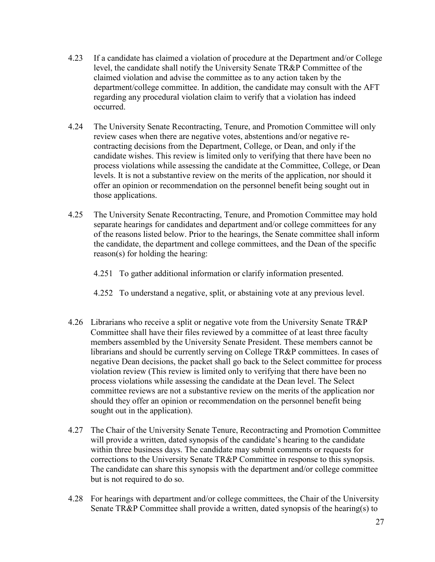- 4.23 If a candidate has claimed a violation of procedure at the Department and/or College level, the candidate shall notify the University Senate TR&P Committee of the claimed violation and advise the committee as to any action taken by the department/college committee. In addition, the candidate may consult with the AFT regarding any procedural violation claim to verify that a violation has indeed occurred.
- 4.24 The University Senate Recontracting, Tenure, and Promotion Committee will only review cases when there are negative votes, abstentions and/or negative recontracting decisions from the Department, College, or Dean, and only if the candidate wishes. This review is limited only to verifying that there have been no process violations while assessing the candidate at the Committee, College, or Dean levels. It is not a substantive review on the merits of the application, nor should it offer an opinion or recommendation on the personnel benefit being sought out in those applications.
- 4.25 The University Senate Recontracting, Tenure, and Promotion Committee may hold separate hearings for candidates and department and/or college committees for any of the reasons listed below. Prior to the hearings, the Senate committee shall inform the candidate, the department and college committees, and the Dean of the specific reason(s) for holding the hearing:
	- 4.251 To gather additional information or clarify information presented.
	- 4.252 To understand a negative, split, or abstaining vote at any previous level.
- 4.26 Librarians who receive a split or negative vote from the University Senate TR&P Committee shall have their files reviewed by a committee of at least three faculty members assembled by the University Senate President. These members cannot be librarians and should be currently serving on College TR&P committees. In cases of negative Dean decisions, the packet shall go back to the Select committee for process violation review (This review is limited only to verifying that there have been no process violations while assessing the candidate at the Dean level. The Select committee reviews are not a substantive review on the merits of the application nor should they offer an opinion or recommendation on the personnel benefit being sought out in the application).
- 4.27 The Chair of the University Senate Tenure, Recontracting and Promotion Committee will provide a written, dated synopsis of the candidate's hearing to the candidate within three business days. The candidate may submit comments or requests for corrections to the University Senate TR&P Committee in response to this synopsis. The candidate can share this synopsis with the department and/or college committee but is not required to do so.
- 4.28 For hearings with department and/or college committees, the Chair of the University Senate TR&P Committee shall provide a written, dated synopsis of the hearing(s) to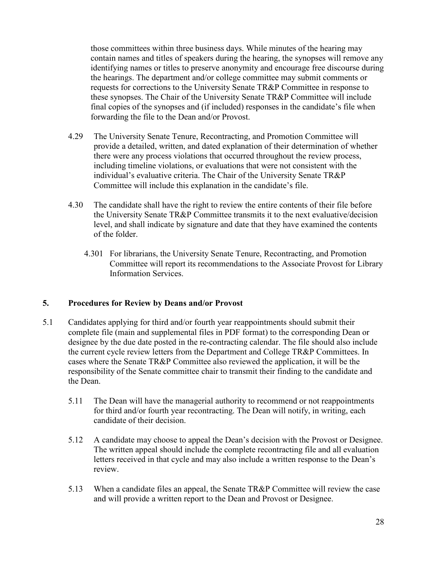those committees within three business days. While minutes of the hearing may contain names and titles of speakers during the hearing, the synopses will remove any identifying names or titles to preserve anonymity and encourage free discourse during the hearings. The department and/or college committee may submit comments or requests for corrections to the University Senate TR&P Committee in response to these synopses. The Chair of the University Senate TR&P Committee will include final copies of the synopses and (if included) responses in the candidate's file when forwarding the file to the Dean and/or Provost.

- 4.29 The University Senate Tenure, Recontracting, and Promotion Committee will provide a detailed, written, and dated explanation of their determination of whether there were any process violations that occurred throughout the review process, including timeline violations, or evaluations that were not consistent with the individual's evaluative criteria. The Chair of the University Senate TR&P Committee will include this explanation in the candidate's file.
- 4.30 The candidate shall have the right to review the entire contents of their file before the University Senate TR&P Committee transmits it to the next evaluative/decision level, and shall indicate by signature and date that they have examined the contents of the folder.
	- 4.301 For librarians, the University Senate Tenure, Recontracting, and Promotion Committee will report its recommendations to the Associate Provost for Library Information Services.

#### <span id="page-27-0"></span>**5. Procedures for Review by Deans and/or Provost**

- 5.1 Candidates applying for third and/or fourth year reappointments should submit their complete file (main and supplemental files in PDF format) to the corresponding Dean or designee by the due date posted in the re-contracting calendar. The file should also include the current cycle review letters from the Department and College TR&P Committees. In cases where the Senate TR&P Committee also reviewed the application, it will be the responsibility of the Senate committee chair to transmit their finding to the candidate and the Dean.
	- 5.11 The Dean will have the managerial authority to recommend or not reappointments for third and/or fourth year recontracting. The Dean will notify, in writing, each candidate of their decision.
	- 5.12 A candidate may choose to appeal the Dean's decision with the Provost or Designee. The written appeal should include the complete recontracting file and all evaluation letters received in that cycle and may also include a written response to the Dean's review.
	- 5.13 When a candidate files an appeal, the Senate TR&P Committee will review the case and will provide a written report to the Dean and Provost or Designee.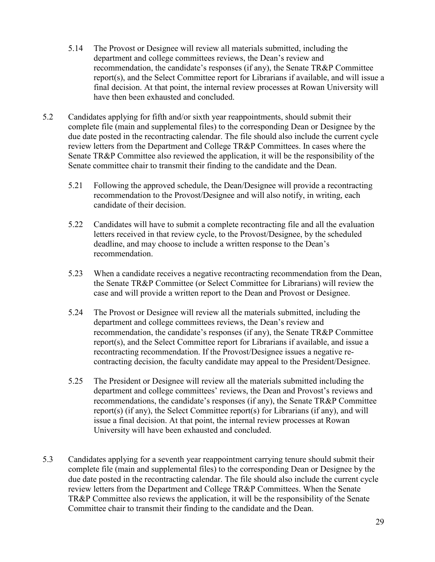- 5.14 The Provost or Designee will review all materials submitted, including the department and college committees reviews, the Dean's review and recommendation, the candidate's responses (if any), the Senate TR&P Committee report(s), and the Select Committee report for Librarians if available, and will issue a final decision. At that point, the internal review processes at Rowan University will have then been exhausted and concluded.
- 5.2 Candidates applying for fifth and/or sixth year reappointments, should submit their complete file (main and supplemental files) to the corresponding Dean or Designee by the due date posted in the recontracting calendar. The file should also include the current cycle review letters from the Department and College TR&P Committees. In cases where the Senate TR&P Committee also reviewed the application, it will be the responsibility of the Senate committee chair to transmit their finding to the candidate and the Dean.
	- 5.21 Following the approved schedule, the Dean/Designee will provide a recontracting recommendation to the Provost/Designee and will also notify, in writing, each candidate of their decision.
	- 5.22 Candidates will have to submit a complete recontracting file and all the evaluation letters received in that review cycle, to the Provost/Designee, by the scheduled deadline, and may choose to include a written response to the Dean's recommendation.
	- 5.23 When a candidate receives a negative recontracting recommendation from the Dean, the Senate TR&P Committee (or Select Committee for Librarians) will review the case and will provide a written report to the Dean and Provost or Designee.
	- 5.24 The Provost or Designee will review all the materials submitted, including the department and college committees reviews, the Dean's review and recommendation, the candidate's responses (if any), the Senate TR&P Committee report(s), and the Select Committee report for Librarians if available, and issue a recontracting recommendation. If the Provost/Designee issues a negative recontracting decision, the faculty candidate may appeal to the President/Designee.
	- 5.25 The President or Designee will review all the materials submitted including the department and college committees' reviews, the Dean and Provost's reviews and recommendations, the candidate's responses (if any), the Senate TR&P Committee report(s) (if any), the Select Committee report(s) for Librarians (if any), and will issue a final decision. At that point, the internal review processes at Rowan University will have been exhausted and concluded.
- 5.3 Candidates applying for a seventh year reappointment carrying tenure should submit their complete file (main and supplemental files) to the corresponding Dean or Designee by the due date posted in the recontracting calendar. The file should also include the current cycle review letters from the Department and College TR&P Committees. When the Senate TR&P Committee also reviews the application, it will be the responsibility of the Senate Committee chair to transmit their finding to the candidate and the Dean.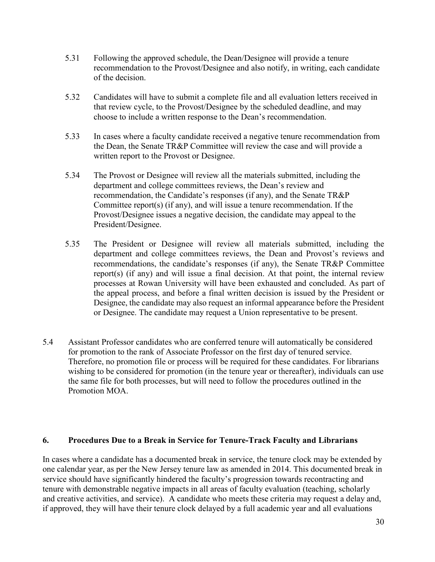- 5.31 Following the approved schedule, the Dean/Designee will provide a tenure recommendation to the Provost/Designee and also notify, in writing, each candidate of the decision.
- 5.32 Candidates will have to submit a complete file and all evaluation letters received in that review cycle, to the Provost/Designee by the scheduled deadline, and may choose to include a written response to the Dean's recommendation.
- 5.33 In cases where a faculty candidate received a negative tenure recommendation from the Dean, the Senate TR&P Committee will review the case and will provide a written report to the Provost or Designee.
- 5.34 The Provost or Designee will review all the materials submitted, including the department and college committees reviews, the Dean's review and recommendation, the Candidate's responses (if any), and the Senate TR&P Committee report(s) (if any), and will issue a tenure recommendation. If the Provost/Designee issues a negative decision, the candidate may appeal to the President/Designee.
- 5.35 The President or Designee will review all materials submitted, including the department and college committees reviews, the Dean and Provost's reviews and recommendations, the candidate's responses (if any), the Senate TR&P Committee report(s) (if any) and will issue a final decision. At that point, the internal review processes at Rowan University will have been exhausted and concluded. As part of the appeal process, and before a final written decision is issued by the President or Designee, the candidate may also request an informal appearance before the President or Designee. The candidate may request a Union representative to be present.
- 5.4 Assistant Professor candidates who are conferred tenure will automatically be considered for promotion to the rank of Associate Professor on the first day of tenured service. Therefore, no promotion file or process will be required for these candidates. For librarians wishing to be considered for promotion (in the tenure year or thereafter), individuals can use the same file for both processes, but will need to follow the procedures outlined in the Promotion MOA.

#### <span id="page-29-0"></span>**6. Procedures Due to a Break in Service for Tenure-Track Faculty and Librarians**

In cases where a candidate has a documented break in service, the tenure clock may be extended by one calendar year, as per the New Jersey tenure law as amended in 2014. This documented break in service should have significantly hindered the faculty's progression towards recontracting and tenure with demonstrable negative impacts in all areas of faculty evaluation (teaching, scholarly and creative activities, and service). A candidate who meets these criteria may request a delay and, if approved, they will have their tenure clock delayed by a full academic year and all evaluations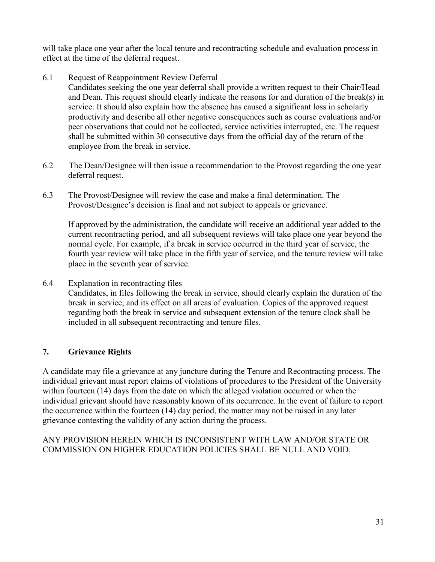will take place one year after the local tenure and recontracting schedule and evaluation process in effect at the time of the deferral request.

6.1 Request of Reappointment Review Deferral

Candidates seeking the one year deferral shall provide a written request to their Chair/Head and Dean. This request should clearly indicate the reasons for and duration of the break(s) in service. It should also explain how the absence has caused a significant loss in scholarly productivity and describe all other negative consequences such as course evaluations and/or peer observations that could not be collected, service activities interrupted, etc. The request shall be submitted within 30 consecutive days from the official day of the return of the employee from the break in service.

- 6.2 The Dean/Designee will then issue a recommendation to the Provost regarding the one year deferral request.
- 6.3 The Provost/Designee will review the case and make a final determination. The Provost/Designee's decision is final and not subject to appeals or grievance.

If approved by the administration, the candidate will receive an additional year added to the current recontracting period, and all subsequent reviews will take place one year beyond the normal cycle. For example, if a break in service occurred in the third year of service, the fourth year review will take place in the fifth year of service, and the tenure review will take place in the seventh year of service.

6.4 Explanation in recontracting files Candidates, in files following the break in service, should clearly explain the duration of the break in service, and its effect on all areas of evaluation. Copies of the approved request regarding both the break in service and subsequent extension of the tenure clock shall be included in all subsequent recontracting and tenure files.

#### <span id="page-30-0"></span>**7. Grievance Rights**

A candidate may file a grievance at any juncture during the Tenure and Recontracting process. The individual grievant must report claims of violations of procedures to the President of the University within fourteen (14) days from the date on which the alleged violation occurred or when the individual grievant should have reasonably known of its occurrence. In the event of failure to report the occurrence within the fourteen (14) day period, the matter may not be raised in any later grievance contesting the validity of any action during the process.

ANY PROVISION HEREIN WHICH IS INCONSISTENT WITH LAW AND/OR STATE OR COMMISSION ON HIGHER EDUCATION POLICIES SHALL BE NULL AND VOID.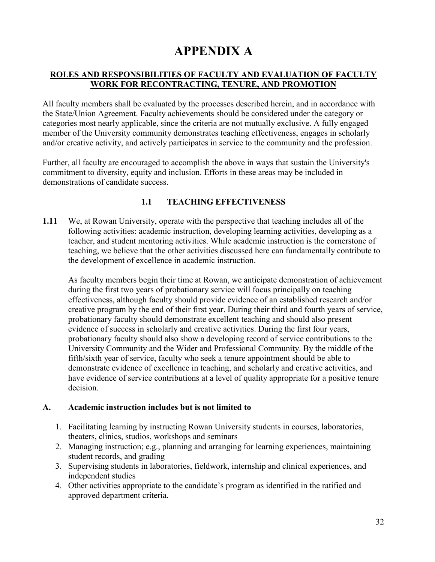## **APPENDIX A**

#### <span id="page-31-0"></span>**ROLES AND RESPONSIBILITIES OF FACULTY AND EVALUATION OF FACULTY WORK FOR RECONTRACTING, TENURE, AND PROMOTION**

All faculty members shall be evaluated by the processes described herein, and in accordance with the State/Union Agreement. Faculty achievements should be considered under the category or categories most nearly applicable, since the criteria are not mutually exclusive. A fully engaged member of the University community demonstrates teaching effectiveness, engages in scholarly and/or creative activity, and actively participates in service to the community and the profession.

Further, all faculty are encouraged to accomplish the above in ways that sustain the University's commitment to diversity, equity and inclusion. Efforts in these areas may be included in demonstrations of candidate success.

#### **1.1 TEACHING EFFECTIVENESS**

**1.11** We, at Rowan University, operate with the perspective that teaching includes all of the following activities: academic instruction, developing learning activities, developing as a teacher, and student mentoring activities. While academic instruction is the cornerstone of teaching, we believe that the other activities discussed here can fundamentally contribute to the development of excellence in academic instruction.

As faculty members begin their time at Rowan, we anticipate demonstration of achievement during the first two years of probationary service will focus principally on teaching effectiveness, although faculty should provide evidence of an established research and/or creative program by the end of their first year. During their third and fourth years of service, probationary faculty should demonstrate excellent teaching and should also present evidence of success in scholarly and creative activities. During the first four years, probationary faculty should also show a developing record of service contributions to the University Community and the Wider and Professional Community. By the middle of the fifth/sixth year of service, faculty who seek a tenure appointment should be able to demonstrate evidence of excellence in teaching, and scholarly and creative activities, and have evidence of service contributions at a level of quality appropriate for a positive tenure decision.

#### **A. Academic instruction includes but is not limited to**

- 1. Facilitating learning by instructing Rowan University students in courses, laboratories, theaters, clinics, studios, workshops and seminars
- 2. Managing instruction; e.g., planning and arranging for learning experiences, maintaining student records, and grading
- 3. Supervising students in laboratories, fieldwork, internship and clinical experiences, and independent studies
- 4. Other activities appropriate to the candidate's program as identified in the ratified and approved department criteria.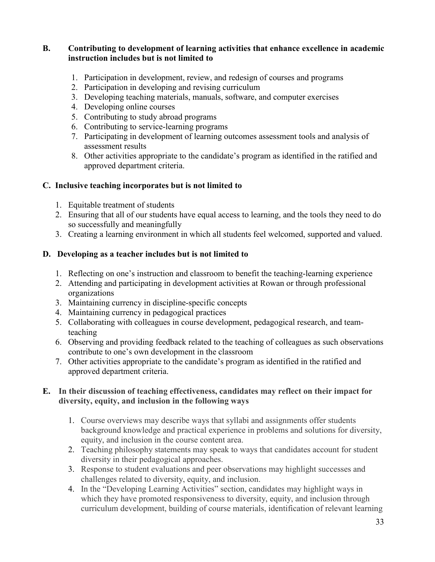#### **B. Contributing to development of learning activities that enhance excellence in academic instruction includes but is not limited to**

- 1. Participation in development, review, and redesign of courses and programs
- 2. Participation in developing and revising curriculum
- 3. Developing teaching materials, manuals, software, and computer exercises
- 4. Developing online courses
- 5. Contributing to study abroad programs
- 6. Contributing to service-learning programs
- 7. Participating in development of learning outcomes assessment tools and analysis of assessment results
- 8. Other activities appropriate to the candidate's program as identified in the ratified and approved department criteria.

#### **C. Inclusive teaching incorporates but is not limited to**

- 1. Equitable treatment of students
- 2. Ensuring that all of our students have equal access to learning, and the tools they need to do so successfully and meaningfully
- 3. Creating a learning environment in which all students feel welcomed, supported and valued.

#### **D. Developing as a teacher includes but is not limited to**

- 1. Reflecting on one's instruction and classroom to benefit the teaching-learning experience
- 2. Attending and participating in development activities at Rowan or through professional organizations
- 3. Maintaining currency in discipline-specific concepts
- 4. Maintaining currency in pedagogical practices
- 5. Collaborating with colleagues in course development, pedagogical research, and teamteaching
- 6. Observing and providing feedback related to the teaching of colleagues as such observations contribute to one's own development in the classroom
- 7. Other activities appropriate to the candidate's program as identified in the ratified and approved department criteria.

#### **E. In their discussion of teaching effectiveness, candidates may reflect on their impact for diversity, equity, and inclusion in the following ways**

- 1. Course overviews may describe ways that syllabi and assignments offer students background knowledge and practical experience in problems and solutions for diversity, equity, and inclusion in the course content area.
- 2. Teaching philosophy statements may speak to ways that candidates account for student diversity in their pedagogical approaches.
- 3. Response to student evaluations and peer observations may highlight successes and challenges related to diversity, equity, and inclusion.
- 4. In the "Developing Learning Activities" section, candidates may highlight ways in which they have promoted responsiveness to diversity, equity, and inclusion through curriculum development, building of course materials, identification of relevant learning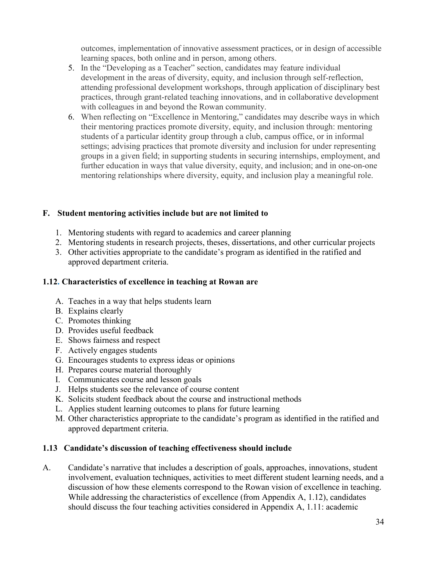outcomes, implementation of innovative assessment practices, or in design of accessible learning spaces, both online and in person, among others.

- 5. In the "Developing as a Teacher" section, candidates may feature individual development in the areas of diversity, equity, and inclusion through self-reflection, attending professional development workshops, through application of disciplinary best practices, through grant-related teaching innovations, and in collaborative development with colleagues in and beyond the Rowan community.
- 6. When reflecting on "Excellence in Mentoring," candidates may describe ways in which their mentoring practices promote diversity, equity, and inclusion through: mentoring students of a particular identity group through a club, campus office, or in informal settings; advising practices that promote diversity and inclusion for under representing groups in a given field; in supporting students in securing internships, employment, and further education in ways that value diversity, equity, and inclusion; and in one-on-one mentoring relationships where diversity, equity, and inclusion play a meaningful role.

#### **F. Student mentoring activities include but are not limited to**

- 1. Mentoring students with regard to academics and career planning
- 2. Mentoring students in research projects, theses, dissertations, and other curricular projects
- 3. Other activities appropriate to the candidate's program as identified in the ratified and approved department criteria.

#### **1.12. Characteristics of excellence in teaching at Rowan are**

- A. Teaches in a way that helps students learn
- B. Explains clearly
- C. Promotes thinking
- D. Provides useful feedback
- E. Shows fairness and respect
- F. Actively engages students
- G. Encourages students to express ideas or opinions
- H. Prepares course material thoroughly
- I. Communicates course and lesson goals
- J. Helps students see the relevance of course content
- K. Solicits student feedback about the course and instructional methods
- L. Applies student learning outcomes to plans for future learning
- M. Other characteristics appropriate to the candidate's program as identified in the ratified and approved department criteria.

#### **1.13 Candidate's discussion of teaching effectiveness should include**

A. Candidate's narrative that includes a description of goals, approaches, innovations, student involvement, evaluation techniques, activities to meet different student learning needs, and a discussion of how these elements correspond to the Rowan vision of excellence in teaching. While addressing the characteristics of excellence (from Appendix A, 1.12), candidates should discuss the four teaching activities considered in Appendix A, 1.11: academic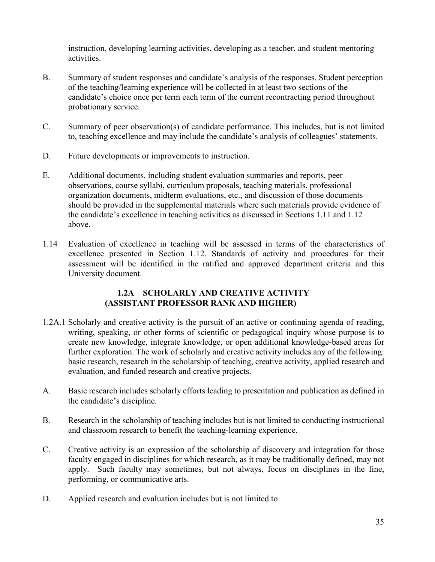instruction, developing learning activities, developing as a teacher, and student mentoring activities.

- B. Summary of student responses and candidate's analysis of the responses. Student perception of the teaching/learning experience will be collected in at least two sections of the candidate's choice once per term each term of the current recontracting period throughout probationary service.
- C. Summary of peer observation(s) of candidate performance. This includes, but is not limited to, teaching excellence and may include the candidate's analysis of colleagues' statements.
- D. Future developments or improvements to instruction.
- E. Additional documents, including student evaluation summaries and reports, peer observations, course syllabi, curriculum proposals, teaching materials, professional organization documents, midterm evaluations, etc., and discussion of those documents should be provided in the supplemental materials where such materials provide evidence of the candidate's excellence in teaching activities as discussed in Sections 1.11 and 1.12 above.
- 1.14 Evaluation of excellence in teaching will be assessed in terms of the characteristics of excellence presented in Section 1.12. Standards of activity and procedures for their assessment will be identified in the ratified and approved department criteria and this University document.

#### **1.2A SCHOLARLY AND CREATIVE ACTIVITY (ASSISTANT PROFESSOR RANK AND HIGHER)**

- 1.2A.1 Scholarly and creative activity is the pursuit of an active or continuing agenda of reading, writing, speaking, or other forms of scientific or pedagogical inquiry whose purpose is to create new knowledge, integrate knowledge, or open additional knowledge-based areas for further exploration. The work of scholarly and creative activity includes any of the following: basic research, research in the scholarship of teaching, creative activity, applied research and evaluation, and funded research and creative projects.
- A. Basic research includes scholarly efforts leading to presentation and publication as defined in the candidate's discipline.
- B. Research in the scholarship of teaching includes but is not limited to conducting instructional and classroom research to benefit the teaching-learning experience.
- C. Creative activity is an expression of the scholarship of discovery and integration for those faculty engaged in disciplines for which research, as it may be traditionally defined, may not apply. Such faculty may sometimes, but not always, focus on disciplines in the fine, performing, or communicative arts.
- D. Applied research and evaluation includes but is not limited to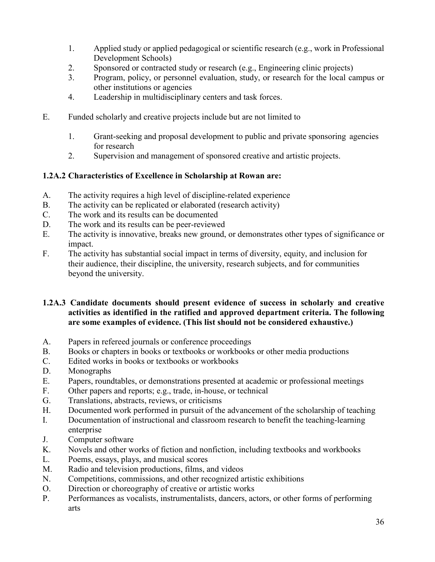- 1. Applied study or applied pedagogical or scientific research (e.g., work in Professional Development Schools)
- 2. Sponsored or contracted study or research (e.g., Engineering clinic projects)
- 3. Program, policy, or personnel evaluation, study, or research for the local campus or other institutions or agencies
- 4. Leadership in multidisciplinary centers and task forces.
- E. Funded scholarly and creative projects include but are not limited to
	- 1. Grant-seeking and proposal development to public and private sponsoring agencies for research
	- 2. Supervision and management of sponsored creative and artistic projects.

#### **1.2A.2 Characteristics of Excellence in Scholarship at Rowan are:**

- A. The activity requires a high level of discipline-related experience
- B. The activity can be replicated or elaborated (research activity)
- C. The work and its results can be documented<br>D. The work and its results can be peer-reviewe
- The work and its results can be peer-reviewed
- E. The activity is innovative, breaks new ground, or demonstrates other types of significance or impact.
- F. The activity has substantial social impact in terms of diversity, equity, and inclusion for their audience, their discipline, the university, research subjects, and for communities beyond the university.

#### **1.2A.3 Candidate documents should present evidence of success in scholarly and creative activities as identified in the ratified and approved department criteria. The following are some examples of evidence. (This list should not be considered exhaustive.)**

- A. Papers in refereed journals or conference proceedings
- B. Books or chapters in books or textbooks or workbooks or other media productions
- C. Edited works in books or textbooks or workbooks
- D. Monographs
- E. Papers, roundtables, or demonstrations presented at academic or professional meetings
- F. Other papers and reports; e.g., trade, in-house, or technical
- G. Translations, abstracts, reviews, or criticisms
- H. Documented work performed in pursuit of the advancement of the scholarship of teaching
- I. Documentation of instructional and classroom research to benefit the teaching-learning enterprise
- J. Computer software<br>K. Novels and other we
- Novels and other works of fiction and nonfiction, including textbooks and workbooks
- L. Poems, essays, plays, and musical scores
- M. Radio and television productions, films, and videos
- N. Competitions, commissions, and other recognized artistic exhibitions
- O. Direction or choreography of creative or artistic works
- P. Performances as vocalists, instrumentalists, dancers, actors, or other forms of performing arts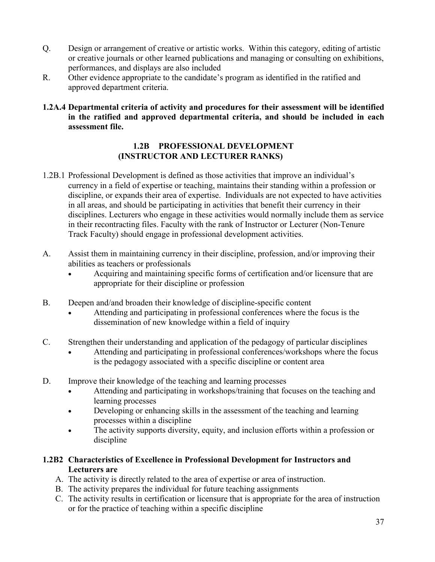- Q. Design or arrangement of creative or artistic works. Within this category, editing of artistic or creative journals or other learned publications and managing or consulting on exhibitions, performances, and displays are also included
- R. Other evidence appropriate to the candidate's program as identified in the ratified and approved department criteria.
- **1.2A.4 Departmental criteria of activity and procedures for their assessment will be identified in the ratified and approved departmental criteria, and should be included in each assessment file.**

#### **1.2B PROFESSIONAL DEVELOPMENT (INSTRUCTOR AND LECTURER RANKS)**

- 1.2B.1 Professional Development is defined as those activities that improve an individual's currency in a field of expertise or teaching, maintains their standing within a profession or discipline, or expands their area of expertise. Individuals are not expected to have activities in all areas, and should be participating in activities that benefit their currency in their disciplines. Lecturers who engage in these activities would normally include them as service in their recontracting files. Faculty with the rank of Instructor or Lecturer (Non-Tenure Track Faculty) should engage in professional development activities.
- A. Assist them in maintaining currency in their discipline, profession, and/or improving their abilities as teachers or professionals
	- Acquiring and maintaining specific forms of certification and/or licensure that are appropriate for their discipline or profession
- B. Deepen and/and broaden their knowledge of discipline-specific content
	- Attending and participating in professional conferences where the focus is the dissemination of new knowledge within a field of inquiry
- C. Strengthen their understanding and application of the pedagogy of particular disciplines
	- Attending and participating in professional conferences/workshops where the focus is the pedagogy associated with a specific discipline or content area
- D. Improve their knowledge of the teaching and learning processes
	- Attending and participating in workshops/training that focuses on the teaching and learning processes
	- Developing or enhancing skills in the assessment of the teaching and learning processes within a discipline
	- The activity supports diversity, equity, and inclusion efforts within a profession or discipline
- **1.2B2 Characteristics of Excellence in Professional Development for Instructors and Lecturers are**
	- A. The activity is directly related to the area of expertise or area of instruction.
	- B. The activity prepares the individual for future teaching assignments
	- C. The activity results in certification or licensure that is appropriate for the area of instruction or for the practice of teaching within a specific discipline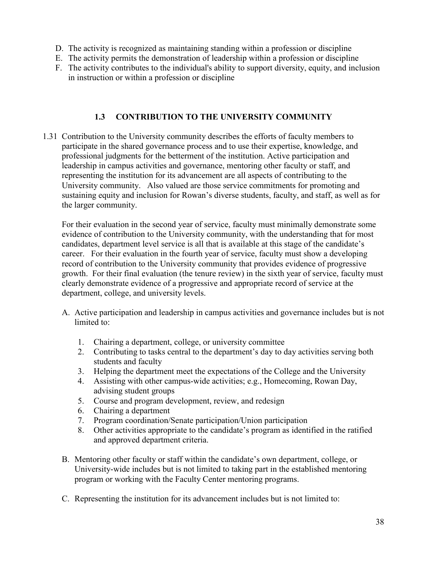- D. The activity is recognized as maintaining standing within a profession or discipline
- E. The activity permits the demonstration of leadership within a profession or discipline
- F. The activity contributes to the individual's ability to support diversity, equity, and inclusion in instruction or within a profession or discipline

#### **1.3 CONTRIBUTION TO THE UNIVERSITY COMMUNITY**

1.31 Contribution to the University community describes the efforts of faculty members to participate in the shared governance process and to use their expertise, knowledge, and professional judgments for the betterment of the institution. Active participation and leadership in campus activities and governance, mentoring other faculty or staff, and representing the institution for its advancement are all aspects of contributing to the University community. Also valued are those service commitments for promoting and sustaining equity and inclusion for Rowan's diverse students, faculty, and staff, as well as for the larger community.

For their evaluation in the second year of service, faculty must minimally demonstrate some evidence of contribution to the University community, with the understanding that for most candidates, department level service is all that is available at this stage of the candidate's career. For their evaluation in the fourth year of service, faculty must show a developing record of contribution to the University community that provides evidence of progressive growth. For their final evaluation (the tenure review) in the sixth year of service, faculty must clearly demonstrate evidence of a progressive and appropriate record of service at the department, college, and university levels.

- A. Active participation and leadership in campus activities and governance includes but is not limited to:
	- 1. Chairing a department, college, or university committee
	- 2. Contributing to tasks central to the department's day to day activities serving both students and faculty
	- 3. Helping the department meet the expectations of the College and the University
	- 4. Assisting with other campus-wide activities; e.g., Homecoming, Rowan Day, advising student groups
	- 5. Course and program development, review, and redesign
	- 6. Chairing a department
	- 7. Program coordination/Senate participation/Union participation
	- 8. Other activities appropriate to the candidate's program as identified in the ratified and approved department criteria.
- B. Mentoring other faculty or staff within the candidate's own department, college, or University-wide includes but is not limited to taking part in the established mentoring program or working with the Faculty Center mentoring programs.
- C. Representing the institution for its advancement includes but is not limited to: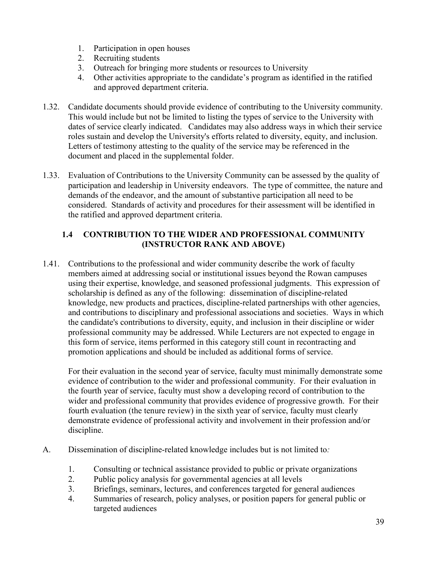- 1. Participation in open houses
- 2. Recruiting students
- 3. Outreach for bringing more students or resources to University
- 4. Other activities appropriate to the candidate's program as identified in the ratified and approved department criteria.
- 1.32. Candidate documents should provide evidence of contributing to the University community. This would include but not be limited to listing the types of service to the University with dates of service clearly indicated. Candidates may also address ways in which their service roles sustain and develop the University's efforts related to diversity, equity, and inclusion. Letters of testimony attesting to the quality of the service may be referenced in the document and placed in the supplemental folder.
- 1.33. Evaluation of Contributions to the University Community can be assessed by the quality of participation and leadership in University endeavors. The type of committee, the nature and demands of the endeavor, and the amount of substantive participation all need to be considered. Standards of activity and procedures for their assessment will be identified in the ratified and approved department criteria.

#### **1.4 CONTRIBUTION TO THE WIDER AND PROFESSIONAL COMMUNITY (INSTRUCTOR RANK AND ABOVE)**

1.41. Contributions to the professional and wider community describe the work of faculty members aimed at addressing social or institutional issues beyond the Rowan campuses using their expertise, knowledge, and seasoned professional judgments. This expression of scholarship is defined as any of the following: dissemination of discipline-related knowledge, new products and practices, discipline-related partnerships with other agencies, and contributions to disciplinary and professional associations and societies. Ways in which the candidate's contributions to diversity, equity, and inclusion in their discipline or wider professional community may be addressed. While Lecturers are not expected to engage in this form of service, items performed in this category still count in recontracting and promotion applications and should be included as additional forms of service.

For their evaluation in the second year of service, faculty must minimally demonstrate some evidence of contribution to the wider and professional community. For their evaluation in the fourth year of service, faculty must show a developing record of contribution to the wider and professional community that provides evidence of progressive growth. For their fourth evaluation (the tenure review) in the sixth year of service, faculty must clearly demonstrate evidence of professional activity and involvement in their profession and/or discipline.

- A. Dissemination of discipline-related knowledge includes but is not limited to*:*
	- 1. Consulting or technical assistance provided to public or private organizations
	- 2. Public policy analysis for governmental agencies at all levels
	- 3. Briefings, seminars, lectures, and conferences targeted for general audiences
	- 4. Summaries of research, policy analyses, or position papers for general public or targeted audiences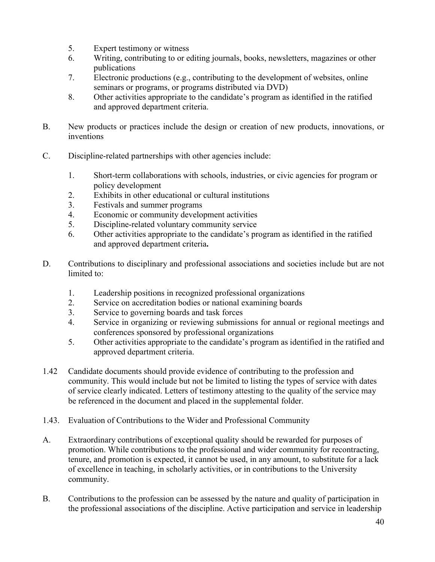- 5. Expert testimony or witness
- 6. Writing, contributing to or editing journals, books, newsletters, magazines or other publications
- 7. Electronic productions (e.g., contributing to the development of websites, online seminars or programs, or programs distributed via DVD)
- 8. Other activities appropriate to the candidate's program as identified in the ratified and approved department criteria.
- B. New products or practices include the design or creation of new products, innovations, or inventions
- C. Discipline-related partnerships with other agencies include:
	- 1. Short-term collaborations with schools, industries, or civic agencies for program or policy development
	- 2. Exhibits in other educational or cultural institutions
	- 3. Festivals and summer programs
	- 4. Economic or community development activities
	- 5. Discipline-related voluntary community service
	- 6. Other activities appropriate to the candidate's program as identified in the ratified and approved department criteria**.**
- D. Contributions to disciplinary and professional associations and societies include but are not limited to:
	- 1. Leadership positions in recognized professional organizations
	- 2. Service on accreditation bodies or national examining boards
	- 3. Service to governing boards and task forces
	- 4. Service in organizing or reviewing submissions for annual or regional meetings and conferences sponsored by professional organizations
	- 5. Other activities appropriate to the candidate's program as identified in the ratified and approved department criteria.
- 1.42 Candidate documents should provide evidence of contributing to the profession and community. This would include but not be limited to listing the types of service with dates of service clearly indicated. Letters of testimony attesting to the quality of the service may be referenced in the document and placed in the supplemental folder.
- 1.43. Evaluation of Contributions to the Wider and Professional Community
- A. Extraordinary contributions of exceptional quality should be rewarded for purposes of promotion. While contributions to the professional and wider community for recontracting, tenure, and promotion is expected, it cannot be used, in any amount, to substitute for a lack of excellence in teaching, in scholarly activities, or in contributions to the University community.
- B. Contributions to the profession can be assessed by the nature and quality of participation in the professional associations of the discipline. Active participation and service in leadership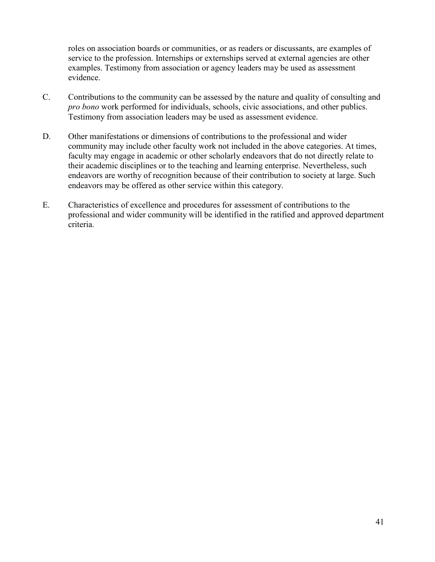roles on association boards or communities, or as readers or discussants, are examples of service to the profession. Internships or externships served at external agencies are other examples. Testimony from association or agency leaders may be used as assessment evidence.

- C. Contributions to the community can be assessed by the nature and quality of consulting and *pro bono* work performed for individuals, schools, civic associations, and other publics. Testimony from association leaders may be used as assessment evidence.
- D. Other manifestations or dimensions of contributions to the professional and wider community may include other faculty work not included in the above categories. At times, faculty may engage in academic or other scholarly endeavors that do not directly relate to their academic disciplines or to the teaching and learning enterprise. Nevertheless, such endeavors are worthy of recognition because of their contribution to society at large. Such endeavors may be offered as other service within this category.
- E. Characteristics of excellence and procedures for assessment of contributions to the professional and wider community will be identified in the ratified and approved department criteria.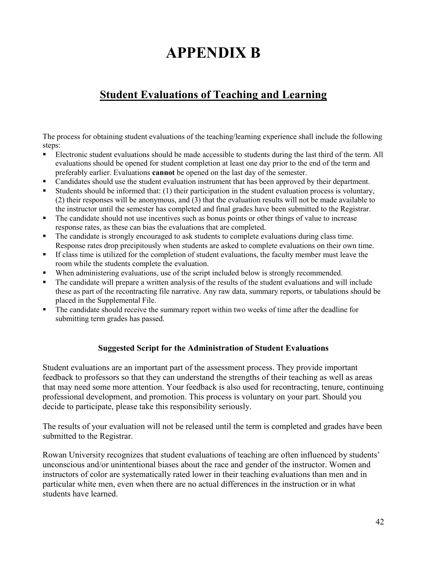# **APPENDIX B**

## <span id="page-41-0"></span>**Student Evaluations of Teaching and Learning**

The process for obtaining student evaluations of the teaching/learning experience shall include the following steps:

- Electronic student evaluations should be made accessible to students during the last third of the term. All evaluations should be opened for student completion at least one day prior to the end of the term and preferably earlier. Evaluations **cannot** be opened on the last day of the semester.
- Candidates should use the student evaluation instrument that has been approved by their department.
- Students should be informed that: (1) their participation in the student evaluation process is voluntary, (2) their responses will be anonymous, and (3) that the evaluation results will not be made available to the instructor until the semester has completed and final grades have been submitted to the Registrar.
- The candidate should not use incentives such as bonus points or other things of value to increase response rates, as these can bias the evaluations that are completed.
- The candidate is strongly encouraged to ask students to complete evaluations during class time. Response rates drop precipitously when students are asked to complete evaluations on their own time.
- If class time is utilized for the completion of student evaluations, the faculty member must leave the room while the students complete the evaluation.
- When administering evaluations, use of the script included below is strongly recommended.
- The candidate will prepare a written analysis of the results of the student evaluations and will include these as part of the recontracting file narrative. Any raw data, summary reports, or tabulations should be placed in the Supplemental File.
- The candidate should receive the summary report within two weeks of time after the deadline for submitting term grades has passed.

#### **Suggested Script for the Administration of Student Evaluations**

Student evaluations are an important part of the assessment process. They provide important feedback to professors so that they can understand the strengths of their teaching as well as areas that may need some more attention. Your feedback is also used for recontracting, tenure, continuing professional development, and promotion. This process is voluntary on your part. Should you decide to participate, please take this responsibility seriously.

The results of your evaluation will not be released until the term is completed and grades have been submitted to the Registrar.

Rowan University recognizes that student evaluations of teaching are often influenced by students' unconscious and/or unintentional biases about the race and gender of the instructor. Women and instructors of color are systematically rated lower in their teaching evaluations than men and in particular white men, even when there are no actual differences in the instruction or in what students have learned.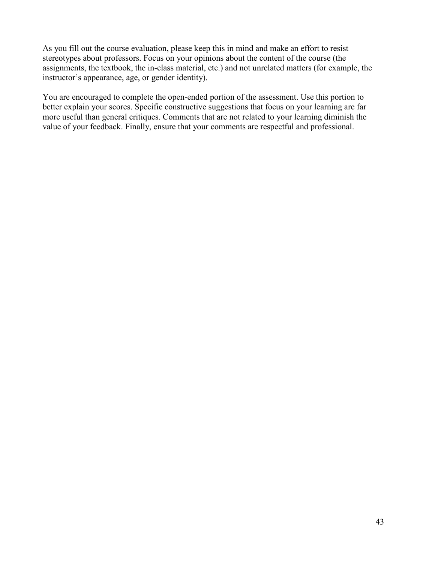As you fill out the course evaluation, please keep this in mind and make an effort to resist stereotypes about professors. Focus on your opinions about the content of the course (the assignments, the textbook, the in-class material, etc.) and not unrelated matters (for example, the instructor's appearance, age, or gender identity).

You are encouraged to complete the open-ended portion of the assessment. Use this portion to better explain your scores. Specific constructive suggestions that focus on your learning are far more useful than general critiques. Comments that are not related to your learning diminish the value of your feedback. Finally, ensure that your comments are respectful and professional.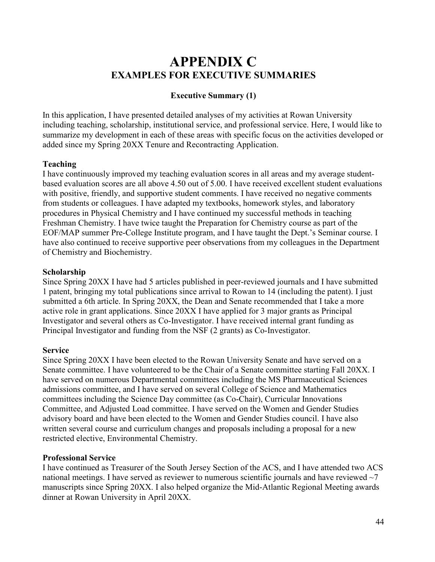## **APPENDIX C EXAMPLES FOR EXECUTIVE SUMMARIES**

#### **Executive Summary (1)**

<span id="page-43-0"></span>In this application, I have presented detailed analyses of my activities at Rowan University including teaching, scholarship, institutional service, and professional service. Here, I would like to summarize my development in each of these areas with specific focus on the activities developed or added since my Spring 20XX Tenure and Recontracting Application.

#### **Teaching**

I have continuously improved my teaching evaluation scores in all areas and my average studentbased evaluation scores are all above 4.50 out of 5.00. I have received excellent student evaluations with positive, friendly, and supportive student comments. I have received no negative comments from students or colleagues. I have adapted my textbooks, homework styles, and laboratory procedures in Physical Chemistry and I have continued my successful methods in teaching Freshman Chemistry. I have twice taught the Preparation for Chemistry course as part of the EOF/MAP summer Pre-College Institute program, and I have taught the Dept.'s Seminar course. I have also continued to receive supportive peer observations from my colleagues in the Department of Chemistry and Biochemistry.

#### **Scholarship**

Since Spring 20XX I have had 5 articles published in peer-reviewed journals and I have submitted 1 patent, bringing my total publications since arrival to Rowan to 14 (including the patent). I just submitted a 6th article. In Spring 20XX, the Dean and Senate recommended that I take a more active role in grant applications. Since 20XX I have applied for 3 major grants as Principal Investigator and several others as Co-Investigator. I have received internal grant funding as Principal Investigator and funding from the NSF (2 grants) as Co-Investigator.

#### **Service**

Since Spring 20XX I have been elected to the Rowan University Senate and have served on a Senate committee. I have volunteered to be the Chair of a Senate committee starting Fall 20XX. I have served on numerous Departmental committees including the MS Pharmaceutical Sciences admissions committee, and I have served on several College of Science and Mathematics committees including the Science Day committee (as Co-Chair), Curricular Innovations Committee, and Adjusted Load committee. I have served on the Women and Gender Studies advisory board and have been elected to the Women and Gender Studies council. I have also written several course and curriculum changes and proposals including a proposal for a new restricted elective, Environmental Chemistry.

#### **Professional Service**

I have continued as Treasurer of the South Jersey Section of the ACS, and I have attended two ACS national meetings. I have served as reviewer to numerous scientific journals and have reviewed  $\sim$ 7 manuscripts since Spring 20XX. I also helped organize the Mid-Atlantic Regional Meeting awards dinner at Rowan University in April 20XX.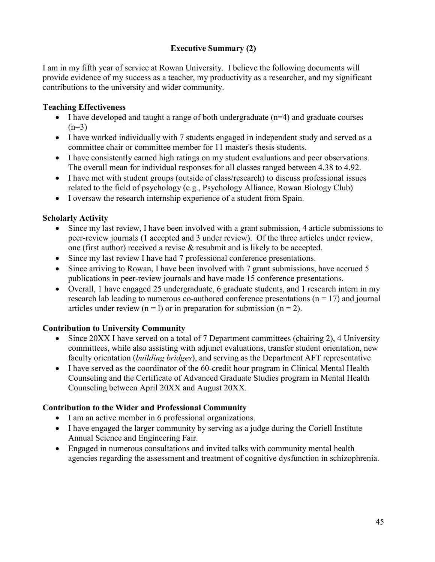### **Executive Summary (2)**

I am in my fifth year of service at Rowan University. I believe the following documents will provide evidence of my success as a teacher, my productivity as a researcher, and my significant contributions to the university and wider community.

#### **Teaching Effectiveness**

- I have developed and taught a range of both undergraduate  $(n=4)$  and graduate courses  $(n=3)$
- I have worked individually with 7 students engaged in independent study and served as a committee chair or committee member for 11 master's thesis students.
- I have consistently earned high ratings on my student evaluations and peer observations. The overall mean for individual responses for all classes ranged between 4.38 to 4.92.
- I have met with student groups (outside of class/research) to discuss professional issues related to the field of psychology (e.g., Psychology Alliance, Rowan Biology Club)
- I oversaw the research internship experience of a student from Spain.

#### **Scholarly Activity**

- Since my last review, I have been involved with a grant submission, 4 article submissions to peer-review journals (1 accepted and 3 under review). Of the three articles under review, one (first author) received a revise & resubmit and is likely to be accepted.
- Since my last review I have had 7 professional conference presentations.
- Since arriving to Rowan, I have been involved with 7 grant submissions, have accrued 5 publications in peer-review journals and have made 15 conference presentations.
- Overall, 1 have engaged 25 undergraduate, 6 graduate students, and 1 research intern in my research lab leading to numerous co-authored conference presentations ( $n = 17$ ) and journal articles under review  $(n = 1)$  or in preparation for submission  $(n = 2)$ .

#### **Contribution to University Community**

- Since 20XX I have served on a total of 7 Department committees (chairing 2), 4 University committees, while also assisting with adjunct evaluations, transfer student orientation, new faculty orientation (*building bridges*), and serving as the Department AFT representative
- I have served as the coordinator of the 60-credit hour program in Clinical Mental Health Counseling and the Certificate of Advanced Graduate Studies program in Mental Health Counseling between April 20XX and August 20XX.

#### **Contribution to the Wider and Professional Community**

- I am an active member in 6 professional organizations.
- I have engaged the larger community by serving as a judge during the Coriell Institute Annual Science and Engineering Fair.
- Engaged in numerous consultations and invited talks with community mental health agencies regarding the assessment and treatment of cognitive dysfunction in schizophrenia.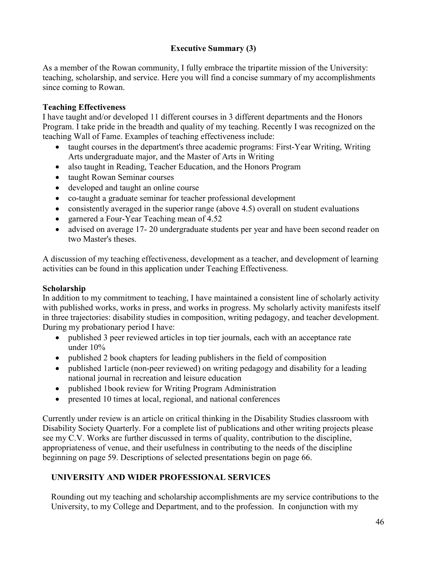### **Executive Summary (3)**

As a member of the Rowan community, I fully embrace the tripartite mission of the University: teaching, scholarship, and service. Here you will find a concise summary of my accomplishments since coming to Rowan.

#### **Teaching Effectiveness**

I have taught and/or developed 11 different courses in 3 different departments and the Honors Program. I take pride in the breadth and quality of my teaching. Recently I was recognized on the teaching Wall of Fame. Examples of teaching effectiveness include:

- taught courses in the department's three academic programs: First-Year Writing, Writing Arts undergraduate major, and the Master of Arts in Writing
- also taught in Reading, Teacher Education, and the Honors Program
- taught Rowan Seminar courses
- developed and taught an online course
- co-taught a graduate seminar for teacher professional development
- consistently averaged in the superior range (above 4.5) overall on student evaluations
- garnered a Four-Year Teaching mean of 4.52
- advised on average 17-20 undergraduate students per year and have been second reader on two Master's theses.

A discussion of my teaching effectiveness, development as a teacher, and development of learning activities can be found in this application under Teaching Effectiveness.

#### **Scholarship**

In addition to my commitment to teaching, I have maintained a consistent line of scholarly activity with published works, works in press, and works in progress. My scholarly activity manifests itself in three trajectories: disability studies in composition, writing pedagogy, and teacher development. During my probationary period I have:

- published 3 peer reviewed articles in top tier journals, each with an acceptance rate under 10%
- published 2 book chapters for leading publishers in the field of composition
- published 1 article (non-peer reviewed) on writing pedagogy and disability for a leading national journal in recreation and leisure education
- published 1book review for Writing Program Administration
- presented 10 times at local, regional, and national conferences

Currently under review is an article on critical thinking in the Disability Studies classroom with Disability Society Quarterly. For a complete list of publications and other writing projects please see my C.V. Works are further discussed in terms of quality, contribution to the discipline, appropriateness of venue, and their usefulness in contributing to the needs of the discipline beginning on page 59. Descriptions of selected presentations begin on page 66.

### **UNIVERSITY AND WIDER PROFESSIONAL SERVICES**

Rounding out my teaching and scholarship accomplishments are my service contributions to the University, to my College and Department, and to the profession. In conjunction with my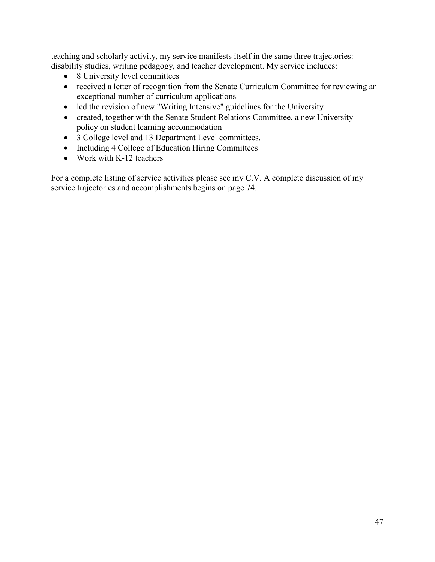teaching and scholarly activity, my service manifests itself in the same three trajectories: disability studies, writing pedagogy, and teacher development. My service includes:

- 8 University level committees
- received a letter of recognition from the Senate Curriculum Committee for reviewing an exceptional number of curriculum applications
- led the revision of new "Writing Intensive" guidelines for the University
- created, together with the Senate Student Relations Committee, a new University policy on student learning accommodation
- 3 College level and 13 Department Level committees.
- Including 4 College of Education Hiring Committees
- Work with K-12 teachers

For a complete listing of service activities please see my C.V. A complete discussion of my service trajectories and accomplishments begins on page 74.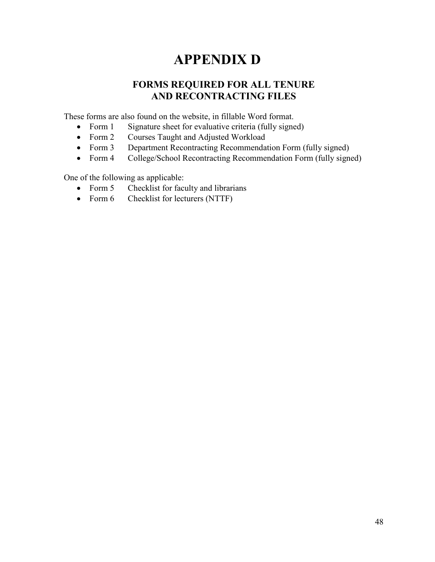# **APPENDIX D**

## **FORMS REQUIRED FOR ALL TENURE AND RECONTRACTING FILES**

<span id="page-47-0"></span>These forms are also found on the website, in fillable Word format.

- Form 1 Signature sheet for evaluative criteria (fully signed)
- Form 2 Courses Taught and Adjusted Workload
- Form 3 Department Recontracting Recommendation Form (fully signed)
- Form 4 College/School Recontracting Recommendation Form (fully signed)

One of the following as applicable:

- Form 5 Checklist for faculty and librarians
- Form 6 Checklist for lecturers (NTTF)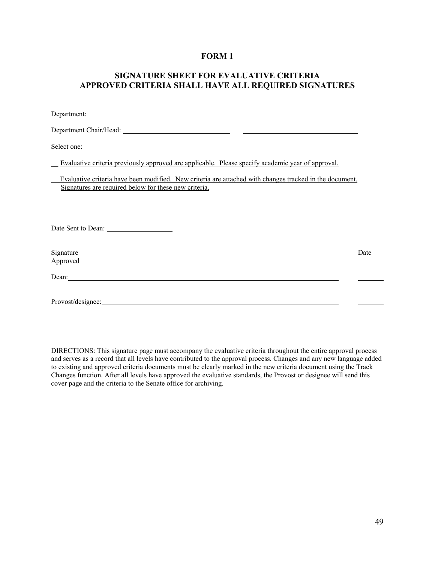#### **FORM 1**

#### <span id="page-48-0"></span>**SIGNATURE SHEET FOR EVALUATIVE CRITERIA APPROVED CRITERIA SHALL HAVE ALL REQUIRED SIGNATURES**

| Department Chair/Head: New York Chair/Head:                                                                                                                                                                                    |      |
|--------------------------------------------------------------------------------------------------------------------------------------------------------------------------------------------------------------------------------|------|
| Select one:                                                                                                                                                                                                                    |      |
| Evaluative criteria previously approved are applicable. Please specify academic year of approval.                                                                                                                              |      |
| Evaluative criteria have been modified. New criteria are attached with changes tracked in the document.<br>Signatures are required below for these new criteria.                                                               |      |
| Date Sent to Dean:                                                                                                                                                                                                             |      |
| Signature<br>Approved                                                                                                                                                                                                          | Date |
| Dean: Dean contract the contract of the contract of the contract of the contract of the contract of the contract of the contract of the contract of the contract of the contract of the contract of the contract of the contra |      |
| Provost/designee:                                                                                                                                                                                                              |      |

DIRECTIONS: This signature page must accompany the evaluative criteria throughout the entire approval process and serves as a record that all levels have contributed to the approval process. Changes and any new language added to existing and approved criteria documents must be clearly marked in the new criteria document using the Track Changes function. After all levels have approved the evaluative standards, the Provost or designee will send this cover page and the criteria to the Senate office for archiving.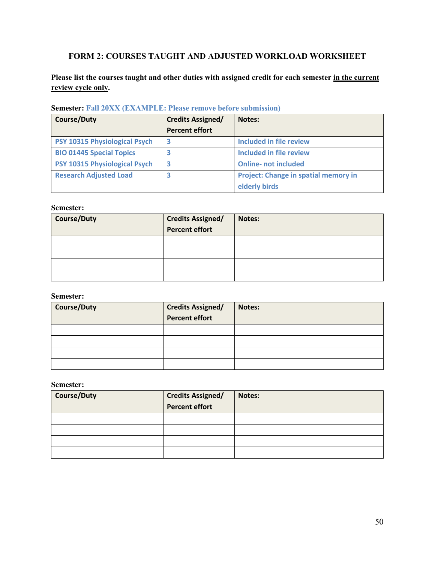### <span id="page-49-0"></span>**FORM 2: COURSES TAUGHT AND ADJUSTED WORKLOAD WORKSHEET**

**Please list the courses taught and other duties with assigned credit for each semester in the current review cycle only.** 

| <b>Course/Duty</b>                   | <b>Credits Assigned/</b> | Notes:                               |
|--------------------------------------|--------------------------|--------------------------------------|
|                                      | <b>Percent effort</b>    |                                      |
| PSY 10315 Physiological Psych        | 3                        | Included in file review              |
| <b>BIO 01445 Special Topics</b>      | В                        | <b>Included in file review</b>       |
| <b>PSY 10315 Physiological Psych</b> | 3                        | <b>Online- not included</b>          |
| <b>Research Adjusted Load</b>        | з                        | Project: Change in spatial memory in |
|                                      |                          | elderly birds                        |

**Semester: Fall 20XX (EXAMPLE: Please remove before submission)**

#### **Semester:**

| <b>Course/Duty</b> | <b>Credits Assigned/</b><br>Percent effort | Notes: |
|--------------------|--------------------------------------------|--------|
|                    |                                            |        |
|                    |                                            |        |
|                    |                                            |        |
|                    |                                            |        |

#### **Semester:**

| <b>Course/Duty</b> | <b>Credits Assigned/</b><br><b>Percent effort</b> | Notes: |
|--------------------|---------------------------------------------------|--------|
|                    |                                                   |        |
|                    |                                                   |        |
|                    |                                                   |        |
|                    |                                                   |        |

#### **Semester:**

| <b>Course/Duty</b> | <b>Credits Assigned/</b><br>Percent effort | Notes: |
|--------------------|--------------------------------------------|--------|
|                    |                                            |        |
|                    |                                            |        |
|                    |                                            |        |
|                    |                                            |        |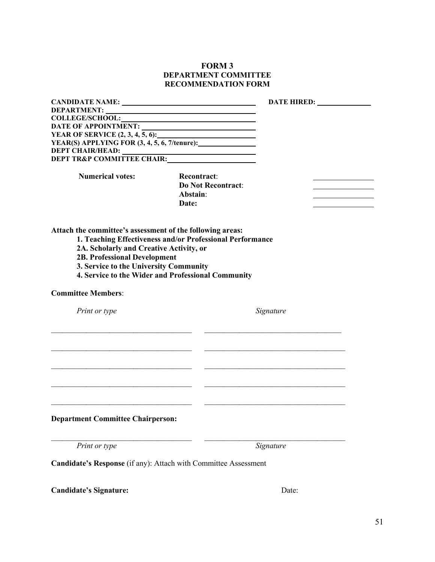#### **FORM 3 DEPARTMENT COMMITTEE RECOMMENDATION FORM**

<span id="page-50-0"></span>

| <b>COLLEGE/SCHOOL:</b>                                                                                                   | <u> 1989 - Johann Barn, mars ann an t-Amhain ann an t-Amhain an t-Amhain an t-Amhain an t-Amhain an t-Amhain an t-</u> |
|--------------------------------------------------------------------------------------------------------------------------|------------------------------------------------------------------------------------------------------------------------|
| DATE OF APPOINTMENT:                                                                                                     |                                                                                                                        |
|                                                                                                                          |                                                                                                                        |
| YEAR(S) APPLYING FOR (3, 4, 5, 6, 7/tenure):                                                                             |                                                                                                                        |
| <b>DEPT CHAIR/HEAD:</b>                                                                                                  |                                                                                                                        |
|                                                                                                                          |                                                                                                                        |
|                                                                                                                          |                                                                                                                        |
| <b>Numerical votes:</b>                                                                                                  | <b>Recontract:</b>                                                                                                     |
|                                                                                                                          | <b>Do Not Recontract:</b>                                                                                              |
|                                                                                                                          | Abstain:                                                                                                               |
|                                                                                                                          | Date:                                                                                                                  |
| 2A. Scholarly and Creative Activity, or<br><b>2B. Professional Development</b><br>3. Service to the University Community | 1. Teaching Effectiveness and/or Professional Performance<br>4. Service to the Wider and Professional Community        |
| <b>Committee Members:</b>                                                                                                |                                                                                                                        |
| Print or type                                                                                                            | Signature                                                                                                              |
|                                                                                                                          |                                                                                                                        |
|                                                                                                                          |                                                                                                                        |
|                                                                                                                          |                                                                                                                        |
| <b>Department Committee Chairperson:</b>                                                                                 |                                                                                                                        |
| Print or type                                                                                                            | Signature                                                                                                              |
|                                                                                                                          | Candidate's Response (if any): Attach with Committee Assessment                                                        |
| <b>Candidate's Signature:</b>                                                                                            | Date:                                                                                                                  |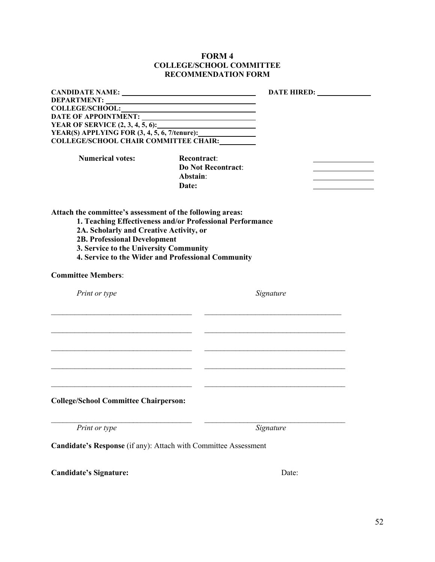#### **FORM 4 COLLEGE/SCHOOL COMMITTEE RECOMMENDATION FORM**

|                                                                                                                                                                                                                                                                                                          |                                                             | <b>DATE HIRED:</b> |  |  |  |
|----------------------------------------------------------------------------------------------------------------------------------------------------------------------------------------------------------------------------------------------------------------------------------------------------------|-------------------------------------------------------------|--------------------|--|--|--|
| DEPARTMENT:                                                                                                                                                                                                                                                                                              |                                                             |                    |  |  |  |
|                                                                                                                                                                                                                                                                                                          |                                                             |                    |  |  |  |
|                                                                                                                                                                                                                                                                                                          |                                                             |                    |  |  |  |
|                                                                                                                                                                                                                                                                                                          |                                                             |                    |  |  |  |
|                                                                                                                                                                                                                                                                                                          |                                                             |                    |  |  |  |
| <b>COLLEGE/SCHOOL CHAIR COMMITTEE CHAIR:</b>                                                                                                                                                                                                                                                             |                                                             |                    |  |  |  |
| <b>Numerical votes:</b>                                                                                                                                                                                                                                                                                  | <b>Recontract:</b><br><b>Do Not Recontract:</b><br>Abstain: |                    |  |  |  |
|                                                                                                                                                                                                                                                                                                          | Date:                                                       |                    |  |  |  |
| Attach the committee's assessment of the following areas:<br>1. Teaching Effectiveness and/or Professional Performance<br>2A. Scholarly and Creative Activity, or<br><b>2B. Professional Development</b><br>3. Service to the University Community<br>4. Service to the Wider and Professional Community |                                                             |                    |  |  |  |
| <b>Committee Members:</b>                                                                                                                                                                                                                                                                                |                                                             |                    |  |  |  |
| Print or type                                                                                                                                                                                                                                                                                            |                                                             | Signature          |  |  |  |
|                                                                                                                                                                                                                                                                                                          |                                                             |                    |  |  |  |
|                                                                                                                                                                                                                                                                                                          |                                                             |                    |  |  |  |
|                                                                                                                                                                                                                                                                                                          |                                                             |                    |  |  |  |
|                                                                                                                                                                                                                                                                                                          |                                                             |                    |  |  |  |
| <b>College/School Committee Chairperson:</b>                                                                                                                                                                                                                                                             |                                                             |                    |  |  |  |
| Print or type                                                                                                                                                                                                                                                                                            |                                                             | Signature          |  |  |  |
| Candidate's Response (if any): Attach with Committee Assessment                                                                                                                                                                                                                                          |                                                             |                    |  |  |  |
| <b>Candidate's Signature:</b>                                                                                                                                                                                                                                                                            |                                                             | Date:              |  |  |  |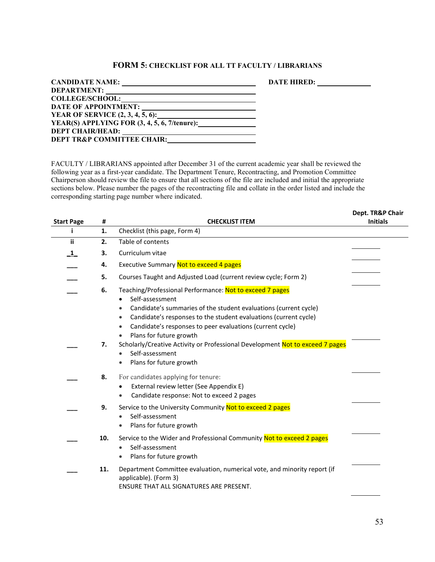#### **FORM 5: CHECKLIST FOR ALL TT FACULTY / LIBRARIANS**

<span id="page-52-0"></span>

| <b>CANDIDATE NAME:</b>                                                               | <b>DATE HIRED:</b> |
|--------------------------------------------------------------------------------------|--------------------|
| DEPARTMENT:                                                                          |                    |
| <b>COLLEGE/SCHOOL:</b><br><u> 1989 - Johann Barn, amerikansk politiker (d. 1989)</u> |                    |
| <b>DATE OF APPOINTMENT:</b>                                                          |                    |
| <b>YEAR OF SERVICE (2, 3, 4, 5, 6):</b> THE METER OF SERVICE (2, 3, 4, 5, 6):        |                    |
| YEAR(S) APPLYING FOR $(3, 4, 5, 6, 7/t$ enure):                                      |                    |
| <b>DEPT CHAIR/HEAD:</b>                                                              |                    |
| DEPT TR&P COMMITTEE CHAIR:                                                           |                    |

FACULTY / LIBRARIANS appointed after December 31 of the current academic year shall be reviewed the following year as a first-year candidate. The Department Tenure, Recontracting, and Promotion Committee Chairperson should review the file to ensure that all sections of the file are included and initial the appropriate sections below. Please number the pages of the recontracting file and collate in the order listed and include the corresponding starting page number where indicated.

|                   |     |                                                                                                                                                                                                                                                                                                                                            | Dept. TR&P Chair |
|-------------------|-----|--------------------------------------------------------------------------------------------------------------------------------------------------------------------------------------------------------------------------------------------------------------------------------------------------------------------------------------------|------------------|
| <b>Start Page</b> | #   | <b>CHECKLIST ITEM</b>                                                                                                                                                                                                                                                                                                                      | <b>Initials</b>  |
| i.                | 1.  | Checklist (this page, Form 4)                                                                                                                                                                                                                                                                                                              |                  |
| <b>ii</b>         | 2.  | Table of contents                                                                                                                                                                                                                                                                                                                          |                  |
| $\mathbf{1}$      | 3.  | Curriculum vitae                                                                                                                                                                                                                                                                                                                           |                  |
|                   | 4.  | <b>Executive Summary Not to exceed 4 pages</b>                                                                                                                                                                                                                                                                                             |                  |
|                   | 5.  | Courses Taught and Adjusted Load (current review cycle; Form 2)                                                                                                                                                                                                                                                                            |                  |
|                   | 6.  | Teaching/Professional Performance: Not to exceed 7 pages<br>Self-assessment<br>Candidate's summaries of the student evaluations (current cycle)<br>$\bullet$<br>Candidate's responses to the student evaluations (current cycle)<br>۰<br>Candidate's responses to peer evaluations (current cycle)<br>Plans for future growth<br>$\bullet$ |                  |
|                   | 7.  | Scholarly/Creative Activity or Professional Development Not to exceed 7 pages<br>Self-assessment<br>Plans for future growth<br>$\bullet$                                                                                                                                                                                                   |                  |
|                   | 8.  | For candidates applying for tenure:<br>External review letter (See Appendix E)<br>Candidate response: Not to exceed 2 pages                                                                                                                                                                                                                |                  |
|                   | 9.  | Service to the University Community Not to exceed 2 pages<br>Self-assessment<br>Plans for future growth                                                                                                                                                                                                                                    |                  |
|                   | 10. | Service to the Wider and Professional Community Not to exceed 2 pages<br>Self-assessment<br>Plans for future growth                                                                                                                                                                                                                        |                  |
|                   | 11. | Department Committee evaluation, numerical vote, and minority report (if<br>applicable). (Form 3)<br><b>ENSURE THAT ALL SIGNATURES ARE PRESENT.</b>                                                                                                                                                                                        |                  |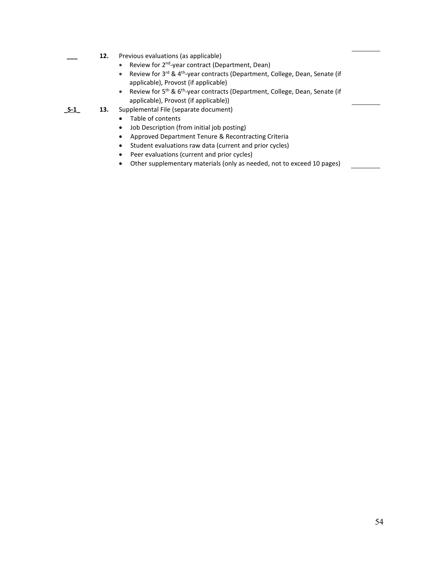- **\_\_\_ 12.** Previous evaluations (as applicable)
	- Review for 2<sup>nd</sup>-year contract (Department, Dean)
	- Review for 3<sup>rd</sup> & 4<sup>th</sup>-year contracts (Department, College, Dean, Senate (if applicable), Provost (if applicable)
	- Review for 5<sup>th</sup> & 6<sup>th</sup>-year contracts (Department, College, Dean, Senate (if applicable), Provost (if applicable))
- **\_S-1\_ 13.** Supplemental File (separate document)
	- Table of contents
	- Job Description (from initial job posting)
	- Approved Department Tenure & Recontracting Criteria
	- Student evaluations raw data (current and prior cycles)
	- Peer evaluations (current and prior cycles)
	- Other supplementary materials (only as needed, not to exceed 10 pages)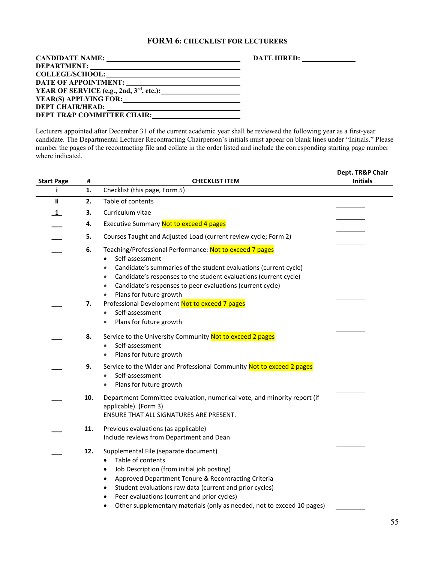#### **FORM 6: CHECKLIST FOR LECTURERS**

<span id="page-54-0"></span>

| <b>CANDIDATE NAME:</b>                                                                                                                                                                                                        | <b>DATE HIRED:</b> |
|-------------------------------------------------------------------------------------------------------------------------------------------------------------------------------------------------------------------------------|--------------------|
| <b>DEPARTMENT:</b>                                                                                                                                                                                                            |                    |
| <b>COLLEGE/SCHOOL:</b><br><u> 1980 - Jan Stein, amerikansk politiker (d. 1980)</u>                                                                                                                                            |                    |
|                                                                                                                                                                                                                               |                    |
| YEAR OF SERVICE (e.g., 2nd, $3rd$ , etc.):                                                                                                                                                                                    |                    |
| YEAR(S) APPLYING FOR: University of the Second Second Second Second Second Second Second Second Second Second Second Second Second Second Second Second Second Second Second Second Second Second Second Second Second Second |                    |
| <b>DEPT CHAIR/HEAD:</b>                                                                                                                                                                                                       |                    |
| <b>DEPT TR&amp;P COMMITTEE CHAIR:</b>                                                                                                                                                                                         |                    |

Lecturers appointed after December 31 of the current academic year shall be reviewed the following year as a first-year candidate. The Departmental Lecturer Recontracting Chairperson's initials must appear on blank lines under "Initials." Please number the pages of the recontracting file and collate in the order listed and include the corresponding starting page number where indicated.

| <b>Start Page</b> | #   | <b>CHECKLIST ITEM</b>                                                                                                                                                                                                                                                                                                                                                                                                | Dept. TR&P Chair<br><b>Initials</b> |
|-------------------|-----|----------------------------------------------------------------------------------------------------------------------------------------------------------------------------------------------------------------------------------------------------------------------------------------------------------------------------------------------------------------------------------------------------------------------|-------------------------------------|
| j.                | 1.  | Checklist (this page, Form 5)                                                                                                                                                                                                                                                                                                                                                                                        |                                     |
| ii.               | 2.  | Table of contents                                                                                                                                                                                                                                                                                                                                                                                                    |                                     |
| $\mathbf{1}$      | 3.  | Curriculum vitae                                                                                                                                                                                                                                                                                                                                                                                                     |                                     |
|                   | 4.  | Executive Summary Not to exceed 4 pages                                                                                                                                                                                                                                                                                                                                                                              |                                     |
|                   | 5.  | Courses Taught and Adjusted Load (current review cycle; Form 2)                                                                                                                                                                                                                                                                                                                                                      |                                     |
|                   | 6.  | Teaching/Professional Performance: Not to exceed 7 pages<br>Self-assessment<br>$\bullet$<br>Candidate's summaries of the student evaluations (current cycle)<br>$\bullet$<br>Candidate's responses to the student evaluations (current cycle)<br>$\bullet$<br>Candidate's responses to peer evaluations (current cycle)<br>$\bullet$<br>Plans for future growth<br>$\bullet$                                         |                                     |
|                   | 7.  | Professional Development Not to exceed 7 pages<br>Self-assessment<br>$\bullet$<br>Plans for future growth<br>$\bullet$                                                                                                                                                                                                                                                                                               |                                     |
|                   | 8.  | Service to the University Community Not to exceed 2 pages<br>Self-assessment<br>$\bullet$<br>Plans for future growth<br>$\bullet$                                                                                                                                                                                                                                                                                    |                                     |
|                   | 9.  | Service to the Wider and Professional Community Not to exceed 2 pages<br>Self-assessment<br>$\bullet$<br>Plans for future growth                                                                                                                                                                                                                                                                                     |                                     |
|                   | 10. | Department Committee evaluation, numerical vote, and minority report (if<br>applicable). (Form 3)<br>ENSURE THAT ALL SIGNATURES ARE PRESENT.                                                                                                                                                                                                                                                                         |                                     |
|                   | 11. | Previous evaluations (as applicable)<br>Include reviews from Department and Dean                                                                                                                                                                                                                                                                                                                                     |                                     |
|                   | 12. | Supplemental File (separate document)<br>Table of contents<br>$\bullet$<br>Job Description (from initial job posting)<br>$\bullet$<br>Approved Department Tenure & Recontracting Criteria<br>$\bullet$<br>Student evaluations raw data (current and prior cycles)<br>$\bullet$<br>Peer evaluations (current and prior cycles)<br>Other supplementary materials (only as needed, not to exceed 10 pages)<br>$\bullet$ |                                     |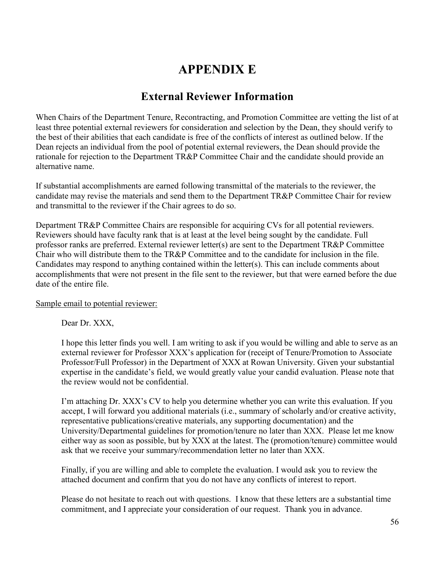## **APPENDIX E**

## **External Reviewer Information**

<span id="page-55-0"></span>When Chairs of the Department Tenure, Recontracting, and Promotion Committee are vetting the list of at least three potential external reviewers for consideration and selection by the Dean, they should verify to the best of their abilities that each candidate is free of the conflicts of interest as outlined below. If the Dean rejects an individual from the pool of potential external reviewers, the Dean should provide the rationale for rejection to the Department TR&P Committee Chair and the candidate should provide an alternative name.

If substantial accomplishments are earned following transmittal of the materials to the reviewer, the candidate may revise the materials and send them to the Department TR&P Committee Chair for review and transmittal to the reviewer if the Chair agrees to do so.

Department TR&P Committee Chairs are responsible for acquiring CVs for all potential reviewers. Reviewers should have faculty rank that is at least at the level being sought by the candidate. Full professor ranks are preferred. External reviewer letter(s) are sent to the Department TR&P Committee Chair who will distribute them to the TR&P Committee and to the candidate for inclusion in the file. Candidates may respond to anything contained within the letter(s). This can include comments about accomplishments that were not present in the file sent to the reviewer, but that were earned before the due date of the entire file.

#### Sample email to potential reviewer:

Dear Dr. XXX,

I hope this letter finds you well. I am writing to ask if you would be willing and able to serve as an external reviewer for Professor XXX's application for (receipt of Tenure/Promotion to Associate Professor/Full Professor) in the Department of XXX at Rowan University. Given your substantial expertise in the candidate's field, we would greatly value your candid evaluation. Please note that the review would not be confidential.

I'm attaching Dr. XXX's CV to help you determine whether you can write this evaluation. If you accept, I will forward you additional materials (i.e., summary of scholarly and/or creative activity, representative publications/creative materials, any supporting documentation) and the University/Departmental guidelines for promotion/tenure no later than XXX. Please let me know either way as soon as possible, but by XXX at the latest. The (promotion/tenure) committee would ask that we receive your summary/recommendation letter no later than XXX.

Finally, if you are willing and able to complete the evaluation. I would ask you to review the attached document and confirm that you do not have any conflicts of interest to report.

Please do not hesitate to reach out with questions. I know that these letters are a substantial time commitment, and I appreciate your consideration of our request. Thank you in advance.